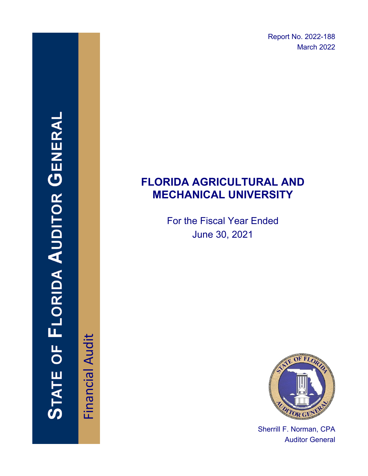Report No. 2022-188 March 2022

# **STATE OF FLORIDA AUDITOR GENERA**

Financial Audit Financial Audit

# **FLORIDA AGRICULTURAL AND MECHANICAL UNIVERSITY**

For the Fiscal Year Ended June 30, 2021



Sherrill F. Norman, CPA Auditor General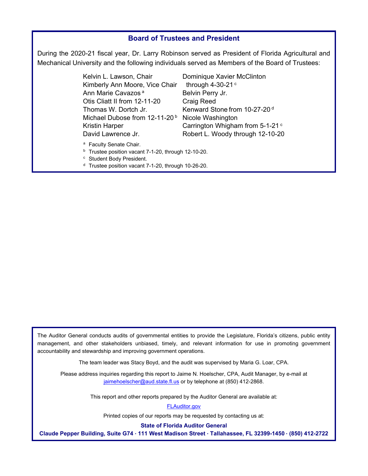### **Board of Trustees and President**

During the 2020-21 fiscal year, Dr. Larry Robinson served as President of Florida Agricultural and Mechanical University and the following individuals served as Members of the Board of Trustees:

> Kelvin L. Lawson, Chair **Dominique Xavier McClinton** Kimberly Ann Moore, Vice Chair through  $4-30-21$ <sup>c</sup> Ann Marie Cavazos<sup>a</sup> Belvin Perry Jr. Otis Cliatt II from 12-11-20 Craig Reed Thomas W. Dortch Jr. Kenward Stone from 10-27-20<sup>d</sup> Michael Dubose from  $12-11-20<sup>b</sup>$  Nicole Washington Kristin Harper Carrington Whigham from 5-1-21<sup>c</sup>

> David Lawrence Jr. Robert L. Woody through 12-10-20

- 
- <sup>a</sup> Faculty Senate Chair.<br>**b Trustee position vacant 7-1-20, through 12-10-20.**
- c Student Body President.
- d Trustee position vacant 7-1-20, through 10-26-20.

The Auditor General conducts audits of governmental entities to provide the Legislature, Florida's citizens, public entity management, and other stakeholders unbiased, timely, and relevant information for use in promoting government accountability and stewardship and improving government operations.

The team leader was Stacy Boyd, and the audit was supervised by Maria G. Loar, CPA.

Please address inquiries regarding this report to Jaime N. Hoelscher, CPA, Audit Manager, by e-mail at jaimehoelscher@aud.state.fl.us or by telephone at (850) 412-2868.

This report and other reports prepared by the Auditor General are available at:

[FLAuditor.gov](http://flauditor.gov/) 

Printed copies of our reports may be requested by contacting us at:

**State of Florida Auditor General** 

**Claude Pepper Building, Suite G74 · 111 West Madison Street · Tallahassee, FL 32399-1450 · (850) 412-2722**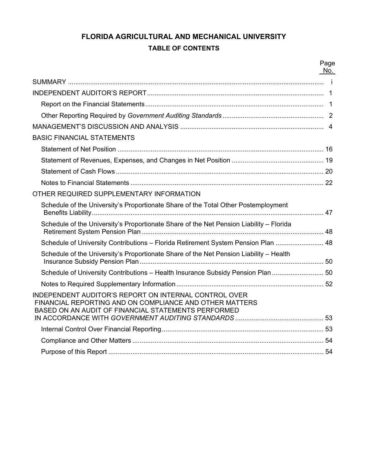# **FLORIDA AGRICULTURAL AND MECHANICAL UNIVERSITY TABLE OF CONTENTS**

Page

|                                                                                                                                                                         | No. |
|-------------------------------------------------------------------------------------------------------------------------------------------------------------------------|-----|
|                                                                                                                                                                         |     |
|                                                                                                                                                                         |     |
|                                                                                                                                                                         |     |
|                                                                                                                                                                         |     |
|                                                                                                                                                                         |     |
| <b>BASIC FINANCIAL STATEMENTS</b>                                                                                                                                       |     |
|                                                                                                                                                                         |     |
|                                                                                                                                                                         |     |
|                                                                                                                                                                         |     |
|                                                                                                                                                                         |     |
| OTHER REQUIRED SUPPLEMENTARY INFORMATION                                                                                                                                |     |
| Schedule of the University's Proportionate Share of the Total Other Postemployment                                                                                      |     |
| Schedule of the University's Proportionate Share of the Net Pension Liability - Florida                                                                                 |     |
| Schedule of University Contributions - Florida Retirement System Pension Plan  48                                                                                       |     |
| Schedule of the University's Proportionate Share of the Net Pension Liability - Health                                                                                  |     |
| Schedule of University Contributions – Health Insurance Subsidy Pension Plan  50                                                                                        |     |
|                                                                                                                                                                         |     |
| INDEPENDENT AUDITOR'S REPORT ON INTERNAL CONTROL OVER<br>FINANCIAL REPORTING AND ON COMPLIANCE AND OTHER MATTERS<br>BASED ON AN AUDIT OF FINANCIAL STATEMENTS PERFORMED |     |
|                                                                                                                                                                         |     |
|                                                                                                                                                                         |     |
|                                                                                                                                                                         |     |
|                                                                                                                                                                         |     |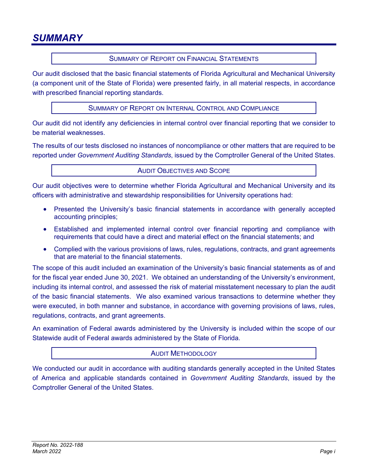# SUMMARY OF REPORT ON FINANCIAL STATEMENTS

<span id="page-3-0"></span>Our audit disclosed that the basic financial statements of Florida Agricultural and Mechanical University (a component unit of the State of Florida) were presented fairly, in all material respects, in accordance with prescribed financial reporting standards.

SUMMARY OF REPORT ON INTERNAL CONTROL AND COMPLIANCE

Our audit did not identify any deficiencies in internal control over financial reporting that we consider to be material weaknesses.

The results of our tests disclosed no instances of noncompliance or other matters that are required to be reported under *Government Auditing Standards*, issued by the Comptroller General of the United States.

# AUDIT OBJECTIVES AND SCOPE

Our audit objectives were to determine whether Florida Agricultural and Mechanical University and its officers with administrative and stewardship responsibilities for University operations had:

- Presented the University's basic financial statements in accordance with generally accepted accounting principles;
- Established and implemented internal control over financial reporting and compliance with requirements that could have a direct and material effect on the financial statements; and
- Complied with the various provisions of laws, rules, regulations, contracts, and grant agreements that are material to the financial statements.

The scope of this audit included an examination of the University's basic financial statements as of and for the fiscal year ended June 30, 2021. We obtained an understanding of the University's environment, including its internal control, and assessed the risk of material misstatement necessary to plan the audit of the basic financial statements. We also examined various transactions to determine whether they were executed, in both manner and substance, in accordance with governing provisions of laws, rules, regulations, contracts, and grant agreements.

An examination of Federal awards administered by the University is included within the scope of our Statewide audit of Federal awards administered by the State of Florida.

# AUDIT METHODOLOGY

We conducted our audit in accordance with auditing standards generally accepted in the United States of America and applicable standards contained in *Government Auditing Standards*, issued by the Comptroller General of the United States.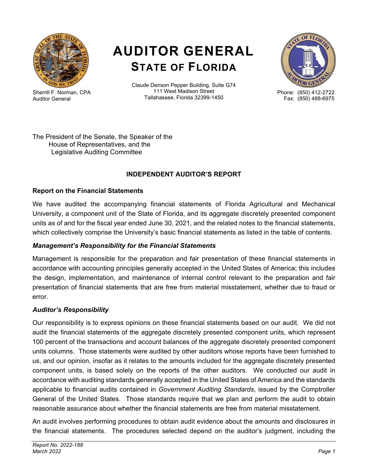<span id="page-4-0"></span>

Sherrill F. Norman, CPA Auditor General

# **AUDITOR GENERAL STATE OF FLORIDA**

Claude Denson Pepper Building, Suite G74 111 West Madison Street Tallahassee, Florida 32399-1450



Phone: (850) 412-2722 Fax: (850) 488-6975

The President of the Senate, the Speaker of the House of Representatives, and the Legislative Auditing Committee

# **INDEPENDENT AUDITOR'S REPORT**

# **Report on the Financial Statements**

We have audited the accompanying financial statements of Florida Agricultural and Mechanical University, a component unit of the State of Florida, and its aggregate discretely presented component units as of and for the fiscal year ended June 30, 2021, and the related notes to the financial statements, which collectively comprise the University's basic financial statements as listed in the table of contents.

# *Management's Responsibility for the Financial Statements*

Management is responsible for the preparation and fair presentation of these financial statements in accordance with accounting principles generally accepted in the United States of America; this includes the design, implementation, and maintenance of internal control relevant to the preparation and fair presentation of financial statements that are free from material misstatement, whether due to fraud or error.

# *Auditor's Responsibility*

Our responsibility is to express opinions on these financial statements based on our audit. We did not audit the financial statements of the aggregate discretely presented component units, which represent 100 percent of the transactions and account balances of the aggregate discretely presented component units columns. Those statements were audited by other auditors whose reports have been furnished to us, and our opinion, insofar as it relates to the amounts included for the aggregate discretely presented component units, is based solely on the reports of the other auditors. We conducted our audit in accordance with auditing standards generally accepted in the United States of America and the standards applicable to financial audits contained in *Government Auditing Standards*, issued by the Comptroller General of the United States. Those standards require that we plan and perform the audit to obtain reasonable assurance about whether the financial statements are free from material misstatement.

An audit involves performing procedures to obtain audit evidence about the amounts and disclosures in the financial statements. The procedures selected depend on the auditor's judgment, including the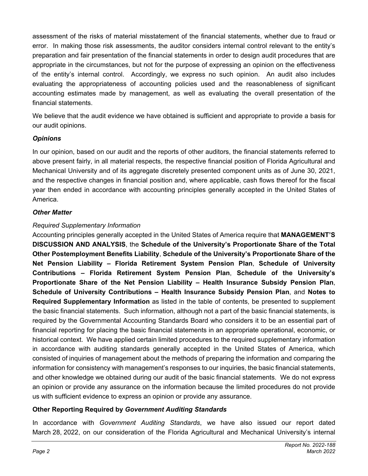<span id="page-5-0"></span>assessment of the risks of material misstatement of the financial statements, whether due to fraud or error. In making those risk assessments, the auditor considers internal control relevant to the entity's preparation and fair presentation of the financial statements in order to design audit procedures that are appropriate in the circumstances, but not for the purpose of expressing an opinion on the effectiveness of the entity's internal control. Accordingly, we express no such opinion. An audit also includes evaluating the appropriateness of accounting policies used and the reasonableness of significant accounting estimates made by management, as well as evaluating the overall presentation of the financial statements.

We believe that the audit evidence we have obtained is sufficient and appropriate to provide a basis for our audit opinions.

# *Opinions*

In our opinion, based on our audit and the reports of other auditors, the financial statements referred to above present fairly, in all material respects, the respective financial position of Florida Agricultural and Mechanical University and of its aggregate discretely presented component units as of June 30, 2021, and the respective changes in financial position and, where applicable, cash flows thereof for the fiscal year then ended in accordance with accounting principles generally accepted in the United States of America.

# *Other Matter*

# *Required Supplementary Information*

Accounting principles generally accepted in the United States of America require that **MANAGEMENT'S DISCUSSION AND ANALYSIS**, the **Schedule of the University's Proportionate Share of the Total Other Postemployment Benefits Liability**, **Schedule of the University's Proportionate Share of the Net Pension Liability – Florida Retirement System Pension Plan**, **Schedule of University Contributions – Florida Retirement System Pension Plan**, **Schedule of the University's Proportionate Share of the Net Pension Liability – Health Insurance Subsidy Pension Plan**, **Schedule of University Contributions – Health Insurance Subsidy Pension Plan**, and **Notes to Required Supplementary Information** as listed in the table of contents, be presented to supplement the basic financial statements. Such information, although not a part of the basic financial statements, is required by the Governmental Accounting Standards Board who considers it to be an essential part of financial reporting for placing the basic financial statements in an appropriate operational, economic, or historical context. We have applied certain limited procedures to the required supplementary information in accordance with auditing standards generally accepted in the United States of America, which consisted of inquiries of management about the methods of preparing the information and comparing the information for consistency with management's responses to our inquiries, the basic financial statements, and other knowledge we obtained during our audit of the basic financial statements. We do not express an opinion or provide any assurance on the information because the limited procedures do not provide us with sufficient evidence to express an opinion or provide any assurance.

# **Other Reporting Required by** *Government Auditing Standards*

In accordance with *Government Auditing Standards*, we have also issued our report dated March 28, 2022, on our consideration of the Florida Agricultural and Mechanical University's internal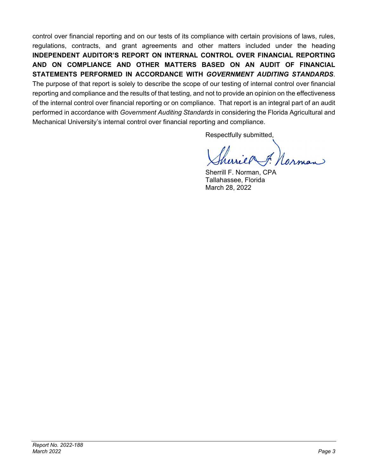control over financial reporting and on our tests of its compliance with certain provisions of laws, rules, regulations, contracts, and grant agreements and other matters included under the heading **INDEPENDENT AUDITOR'S REPORT ON INTERNAL CONTROL OVER FINANCIAL REPORTING AND ON COMPLIANCE AND OTHER MATTERS BASED ON AN AUDIT OF FINANCIAL STATEMENTS PERFORMED IN ACCORDANCE WITH** *GOVERNMENT AUDITING STANDARDS*. The purpose of that report is solely to describe the scope of our testing of internal control over financial reporting and compliance and the results of that testing, and not to provide an opinion on the effectiveness of the internal control over financial reporting or on compliance. That report is an integral part of an audit performed in accordance with *Government Auditing Standards* in considering the Florida Agricultural and Mechanical University's internal control over financial reporting and compliance.

Respectfully submitted,

Verman

Sherrill F. Norman, CPA Tallahassee, Florida March 28, 2022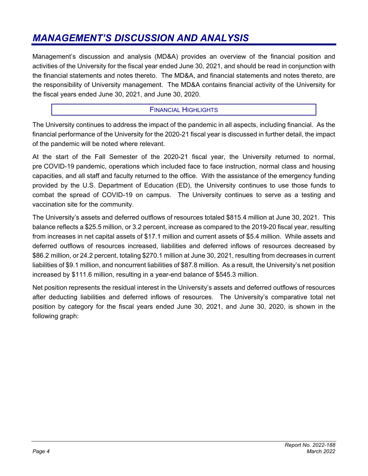# <span id="page-7-0"></span>*MANAGEMENT'S DISCUSSION AND ANALYSIS*

Management's discussion and analysis (MD&A) provides an overview of the financial position and activities of the University for the fiscal year ended June 30, 2021, and should be read in conjunction with the financial statements and notes thereto. The MD&A, and financial statements and notes thereto, are the responsibility of University management. The MD&A contains financial activity of the University for the fiscal years ended June 30, 2021, and June 30, 2020.

# FINANCIAL HIGHLIGHTS

The University continues to address the impact of the pandemic in all aspects, including financial. As the financial performance of the University for the 2020-21 fiscal year is discussed in further detail, the impact of the pandemic will be noted where relevant.

At the start of the Fall Semester of the 2020-21 fiscal year, the University returned to normal, pre COVID-19 pandemic, operations which included face to face instruction, normal class and housing capacities, and all staff and faculty returned to the office. With the assistance of the emergency funding provided by the U.S. Department of Education (ED), the University continues to use those funds to combat the spread of COVID-19 on campus. The University continues to serve as a testing and vaccination site for the community.

The University's assets and deferred outflows of resources totaled \$815.4 million at June 30, 2021. This balance reflects a \$25.5 million, or 3.2 percent, increase as compared to the 2019-20 fiscal year, resulting from increases in net capital assets of \$17.1 million and current assets of \$5.4 million. While assets and deferred outflows of resources increased, liabilities and deferred inflows of resources decreased by \$86.2 million, or 24.2 percent, totaling \$270.1 million at June 30, 2021, resulting from decreases in current liabilities of \$9.1 million, and noncurrent liabilities of \$87.8 million. As a result, the University's net position increased by \$111.6 million, resulting in a year-end balance of \$545.3 million.

Net position represents the residual interest in the University's assets and deferred outflows of resources after deducting liabilities and deferred inflows of resources. The University's comparative total net position by category for the fiscal years ended June 30, 2021, and June 30, 2020, is shown in the following graph: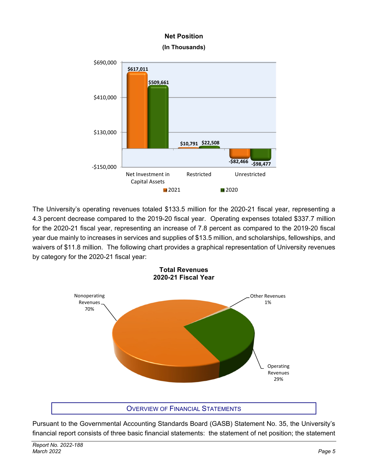**Net Position (In Thousands)** 



The University's operating revenues totaled \$133.5 million for the 2020-21 fiscal year, representing a 4.3 percent decrease compared to the 2019-20 fiscal year. Operating expenses totaled \$337.7 million for the 2020-21 fiscal year, representing an increase of 7.8 percent as compared to the 2019-20 fiscal year due mainly to increases in services and supplies of \$13.5 million, and scholarships, fellowships, and waivers of \$11.8 million. The following chart provides a graphical representation of University revenues by category for the 2020-21 fiscal year:



Pursuant to the Governmental Accounting Standards Board (GASB) Statement No. 35, the University's financial report consists of three basic financial statements: the statement of net position; the statement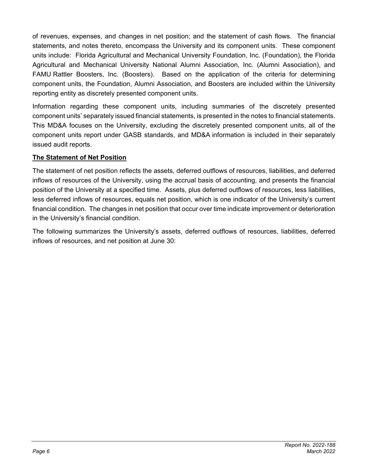of revenues, expenses, and changes in net position; and the statement of cash flows. The financial statements, and notes thereto, encompass the University and its component units. These component units include: Florida Agricultural and Mechanical University Foundation, Inc. (Foundation), the Florida Agricultural and Mechanical University National Alumni Association, Inc. (Alumni Association), and FAMU Rattler Boosters, Inc. (Boosters). Based on the application of the criteria for determining component units, the Foundation, Alumni Association, and Boosters are included within the University reporting entity as discretely presented component units.

Information regarding these component units, including summaries of the discretely presented component units' separately issued financial statements, is presented in the notes to financial statements. This MD&A focuses on the University, excluding the discretely presented component units, all of the component units report under GASB standards, and MD&A information is included in their separately issued audit reports.

# **The Statement of Net Position**

The statement of net position reflects the assets, deferred outflows of resources, liabilities, and deferred inflows of resources of the University, using the accrual basis of accounting, and presents the financial position of the University at a specified time. Assets, plus deferred outflows of resources, less liabilities, less deferred inflows of resources, equals net position, which is one indicator of the University's current financial condition. The changes in net position that occur over time indicate improvement or deterioration in the University's financial condition.

The following summarizes the University's assets, deferred outflows of resources, liabilities, deferred inflows of resources, and net position at June 30: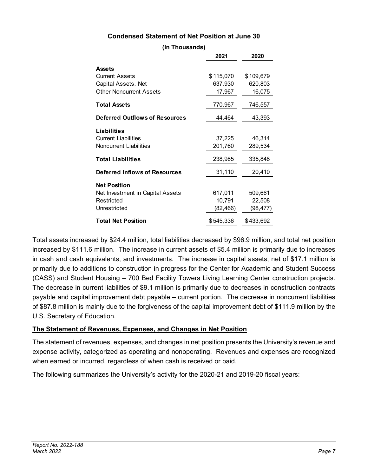# **Condensed Statement of Net Position at June 30**

**(In Thousands)** 

|                                       | 2021      | 2020      |
|---------------------------------------|-----------|-----------|
| <b>Assets</b>                         |           |           |
| <b>Current Assets</b>                 | \$115,070 | \$109,679 |
| Capital Assets, Net                   | 637,930   | 620,803   |
| <b>Other Noncurrent Assets</b>        | 17,967    | 16,075    |
| <b>Total Assets</b>                   | 770,967   | 746,557   |
| <b>Deferred Outflows of Resources</b> | 44,464    | 43,393    |
| Liabilities                           |           |           |
| <b>Current Liabilities</b>            | 37,225    | 46,314    |
| <b>Noncurrent Liabilities</b>         | 201,760   | 289,534   |
| <b>Total Liabilities</b>              | 238,985   | 335,848   |
| <b>Deferred Inflows of Resources</b>  | 31,110    | 20,410    |
| <b>Net Position</b>                   |           |           |
| Net Investment in Capital Assets      | 617,011   | 509,661   |
| Restricted                            | 10,791    | 22,508    |
| Unrestricted                          | (82, 466) | (98,477)  |
| <b>Total Net Position</b>             | \$545,336 | \$433,692 |

Total assets increased by \$24.4 million, total liabilities decreased by \$96.9 million, and total net position increased by \$111.6 million. The increase in current assets of \$5.4 million is primarily due to increases in cash and cash equivalents, and investments. The increase in capital assets, net of \$17.1 million is primarily due to additions to construction in progress for the Center for Academic and Student Success (CASS) and Student Housing – 700 Bed Facility Towers Living Learning Center construction projects. The decrease in current liabilities of \$9.1 million is primarily due to decreases in construction contracts payable and capital improvement debt payable – current portion. The decrease in noncurrent liabilities of \$87.8 million is mainly due to the forgiveness of the capital improvement debt of \$111.9 million by the U.S. Secretary of Education.

# **The Statement of Revenues, Expenses, and Changes in Net Position**

The statement of revenues, expenses, and changes in net position presents the University's revenue and expense activity, categorized as operating and nonoperating. Revenues and expenses are recognized when earned or incurred, regardless of when cash is received or paid.

The following summarizes the University's activity for the 2020-21 and 2019-20 fiscal years: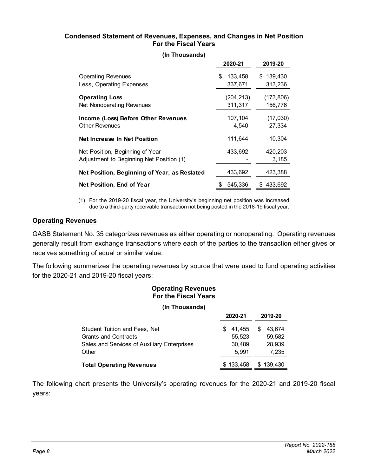# **Condensed Statement of Revenues, Expenses, and Changes in Net Position For the Fiscal Years**

**(In Thousands)** 

|                                                                             | 2020-21                  | 2019-20                  |
|-----------------------------------------------------------------------------|--------------------------|--------------------------|
| <b>Operating Revenues</b><br>Less, Operating Expenses                       | \$<br>133,458<br>337,671 | 139,430<br>\$<br>313,236 |
| <b>Operating Loss</b><br>Net Nonoperating Revenues                          | (204, 213)<br>311,317    | (173, 806)<br>156,776    |
| Income (Loss) Before Other Revenues<br><b>Other Revenues</b>                | 107,104<br>4,540         | (17,030)<br>27,334       |
| <b>Net Increase In Net Position</b>                                         | 111,644                  | 10,304                   |
| Net Position, Beginning of Year<br>Adjustment to Beginning Net Position (1) | 433,692                  | 420,203<br>3,185         |
| Net Position, Beginning of Year, as Restated                                | 433,692                  | 423,388                  |
| <b>Net Position, End of Year</b>                                            | 545,336<br>\$            | 433,692<br>S             |

(1) For the 2019-20 fiscal year, the University's beginning net position was increased due to a third-party receivable transaction not being posted in the 2018-19 fiscal year.

# **Operating Revenues**

GASB Statement No. 35 categorizes revenues as either operating or nonoperating. Operating revenues generally result from exchange transactions where each of the parties to the transaction either gives or receives something of equal or similar value.

The following summarizes the operating revenues by source that were used to fund operating activities for the 2020-21 and 2019-20 fiscal years:

# **Operating Revenues For the Fiscal Years**

**(In Thousands)** 

|                                             | 2020-21       | 2019-20     |  |
|---------------------------------------------|---------------|-------------|--|
| <b>Student Tuition and Fees, Net</b>        | 41,455<br>SS. | S<br>43,674 |  |
| <b>Grants and Contracts</b>                 | 55.523        | 59,582      |  |
| Sales and Services of Auxiliary Enterprises | 30.489        | 28.939      |  |
| Other                                       | 5.991         | 7,235       |  |
| <b>Total Operating Revenues</b>             | \$133,458     | \$139,430   |  |

The following chart presents the University's operating revenues for the 2020-21 and 2019-20 fiscal years: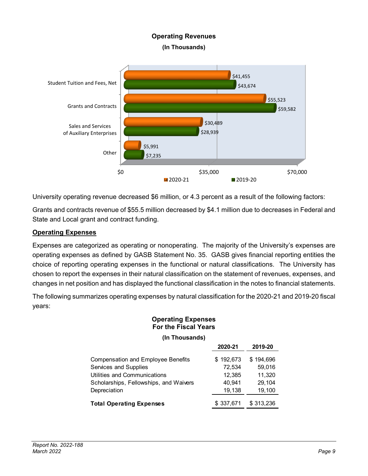

University operating revenue decreased \$6 million, or 4.3 percent as a result of the following factors:

Grants and contracts revenue of \$55.5 million decreased by \$4.1 million due to decreases in Federal and State and Local grant and contract funding.

# **Operating Expenses**

Expenses are categorized as operating or nonoperating. The majority of the University's expenses are operating expenses as defined by GASB Statement No. 35. GASB gives financial reporting entities the choice of reporting operating expenses in the functional or natural classifications. The University has chosen to report the expenses in their natural classification on the statement of revenues, expenses, and changes in net position and has displayed the functional classification in the notes to financial statements.

The following summarizes operating expenses by natural classification for the 2020-21 and 2019-20 fiscal years:

# **Operating Expenses For the Fiscal Years**

### **(In Thousands)**

|                                           | 2020-21   | 2019-20   |
|-------------------------------------------|-----------|-----------|
| <b>Compensation and Employee Benefits</b> | \$192,673 | \$194,696 |
| Services and Supplies                     | 72.534    | 59,016    |
| Utilities and Communications              | 12,385    | 11,320    |
| Scholarships, Fellowships, and Waivers    | 40.941    | 29,104    |
| Depreciation                              | 19,138    | 19,100    |
| <b>Total Operating Expenses</b>           | \$337,671 | \$313,236 |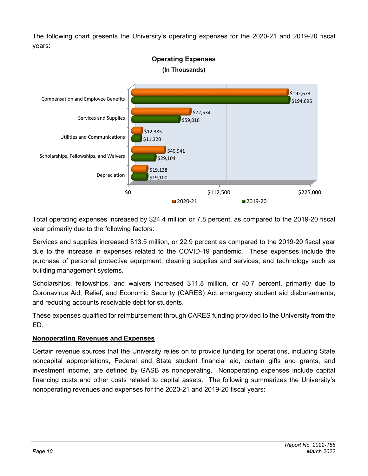The following chart presents the University's operating expenses for the 2020-21 and 2019-20 fiscal years:



Total operating expenses increased by \$24.4 million or 7.8 percent, as compared to the 2019-20 fiscal year primarily due to the following factors:

Services and supplies increased \$13.5 million, or 22.9 percent as compared to the 2019-20 fiscal year due to the increase in expenses related to the COVID-19 pandemic. These expenses include the purchase of personal protective equipment, cleaning supplies and services, and technology such as building management systems.

Scholarships, fellowships, and waivers increased \$11.8 million, or 40.7 percent, primarily due to Coronavirus Aid, Relief, and Economic Security (CARES) Act emergency student aid disbursements, and reducing accounts receivable debt for students.

These expenses qualified for reimbursement through CARES funding provided to the University from the ED.

# **Nonoperating Revenues and Expenses**

Certain revenue sources that the University relies on to provide funding for operations, including State noncapital appropriations, Federal and State student financial aid, certain gifts and grants, and investment income, are defined by GASB as nonoperating. Nonoperating expenses include capital financing costs and other costs related to capital assets. The following summarizes the University's nonoperating revenues and expenses for the 2020-21 and 2019-20 fiscal years: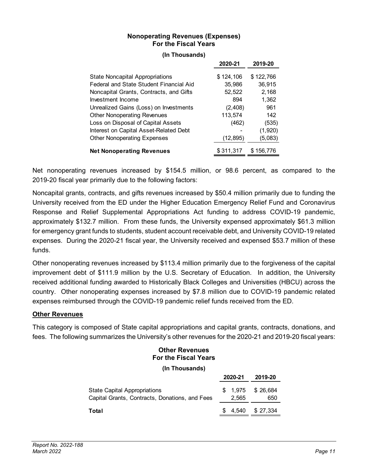# **Nonoperating Revenues (Expenses) For the Fiscal Years**

|                                         | 2020-21   | 2019-20   |  |
|-----------------------------------------|-----------|-----------|--|
| <b>State Noncapital Appropriations</b>  | \$124,106 | \$122,766 |  |
| Federal and State Student Financial Aid | 35,986    | 36,915    |  |
| Noncapital Grants, Contracts, and Gifts | 52,522    | 2,168     |  |
| Investment Income                       | 894       | 1,362     |  |
| Unrealized Gains (Loss) on Investments  | (2, 408)  | 961       |  |
| <b>Other Nonoperating Revenues</b>      | 113,574   | 142       |  |
| Loss on Disposal of Capital Assets      | (462)     | (535)     |  |
| Interest on Capital Asset-Related Debt  |           | (1,920)   |  |
| <b>Other Nonoperating Expenses</b>      | (12, 895) | (5,083)   |  |
| <b>Net Nonoperating Revenues</b>        | \$311,317 | \$156,776 |  |

### **(In Thousands)**

Net nonoperating revenues increased by \$154.5 million, or 98.6 percent, as compared to the 2019-20 fiscal year primarily due to the following factors:

Noncapital grants, contracts, and gifts revenues increased by \$50.4 million primarily due to funding the University received from the ED under the Higher Education Emergency Relief Fund and Coronavirus Response and Relief Supplemental Appropriations Act funding to address COVID-19 pandemic, approximately \$132.7 million. From these funds, the University expensed approximately \$61.3 million for emergency grant funds to students, student account receivable debt, and University COVID-19 related expenses. During the 2020-21 fiscal year, the University received and expensed \$53.7 million of these funds.

Other nonoperating revenues increased by \$113.4 million primarily due to the forgiveness of the capital improvement debt of \$111.9 million by the U.S. Secretary of Education. In addition, the University received additional funding awarded to Historically Black Colleges and Universities (HBCU) across the country. Other nonoperating expenses increased by \$7.8 million due to COVID-19 pandemic related expenses reimbursed through the COVID-19 pandemic relief funds received from the ED.

# **Other Revenues**

This category is composed of State capital appropriations and capital grants, contracts, donations, and fees. The following summarizes the University's other revenues for the 2020-21 and 2019-20 fiscal years:

# **Other Revenues For the Fiscal Years**

### **(In Thousands)**

|                                                                                       | 2020-21                     | 2019-20 |
|---------------------------------------------------------------------------------------|-----------------------------|---------|
| <b>State Capital Appropriations</b><br>Capital Grants, Contracts, Donations, and Fees | $$1,975$ $$26,684$<br>2.565 | 650     |
| Total                                                                                 | $$4,540$ $$27,334$          |         |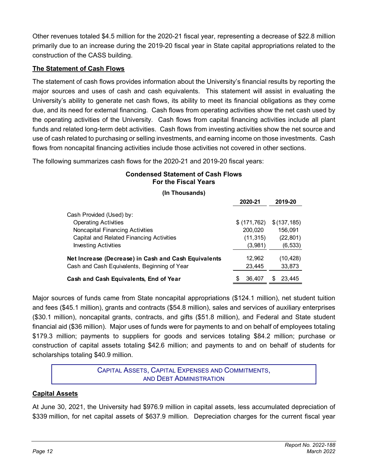Other revenues totaled \$4.5 million for the 2020-21 fiscal year, representing a decrease of \$22.8 million primarily due to an increase during the 2019-20 fiscal year in State capital appropriations related to the construction of the CASS building.

# **The Statement of Cash Flows**

The statement of cash flows provides information about the University's financial results by reporting the major sources and uses of cash and cash equivalents. This statement will assist in evaluating the University's ability to generate net cash flows, its ability to meet its financial obligations as they come due, and its need for external financing. Cash flows from operating activities show the net cash used by the operating activities of the University. Cash flows from capital financing activities include all plant funds and related long-term debt activities. Cash flows from investing activities show the net source and use of cash related to purchasing or selling investments, and earning income on those investments. Cash flows from noncapital financing activities include those activities not covered in other sections.

The following summarizes cash flows for the 2020-21 and 2019-20 fiscal years:

# **Condensed Statement of Cash Flows For the Fiscal Years**

| <del>.</del> .                                       |              |              |
|------------------------------------------------------|--------------|--------------|
|                                                      | 2020-21      | 2019-20      |
| Cash Provided (Used) by:                             |              |              |
| <b>Operating Activities</b>                          | \$(171, 762) | \$(137, 185) |
| Noncapital Financing Activities                      | 200,020      | 156,091      |
| Capital and Related Financing Activities             | (11, 315)    | (22, 801)    |
| <b>Investing Activities</b>                          | (3,981)      | (6, 533)     |
| Net Increase (Decrease) in Cash and Cash Equivalents | 12,962       | (10, 428)    |
| Cash and Cash Equivalents, Beginning of Year         | 23,445       | 33,873       |
| Cash and Cash Equivalents, End of Year               | 36.407<br>\$ | 23,445<br>S  |

**(In Thousands)** 

Major sources of funds came from State noncapital appropriations (\$124.1 million), net student tuition and fees (\$45.1 million), grants and contracts (\$54.8 million), sales and services of auxiliary enterprises (\$30.1 million), noncapital grants, contracts, and gifts (\$51.8 million), and Federal and State student financial aid (\$36 million). Major uses of funds were for payments to and on behalf of employees totaling \$179.3 million; payments to suppliers for goods and services totaling \$84.2 million; purchase or construction of capital assets totaling \$42.6 million; and payments to and on behalf of students for scholarships totaling \$40.9 million.

# CAPITAL ASSETS, CAPITAL EXPENSES AND COMMITMENTS, AND DEBT ADMINISTRATION

# **Capital Assets**

At June 30, 2021, the University had \$976.9 million in capital assets, less accumulated depreciation of \$339 million, for net capital assets of \$637.9 million. Depreciation charges for the current fiscal year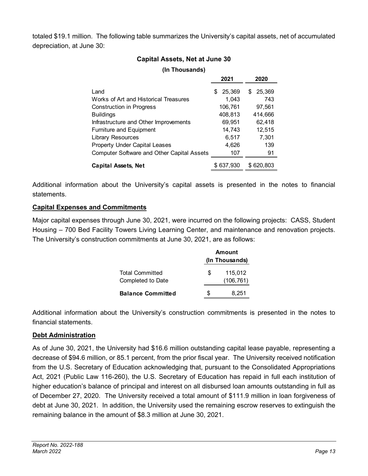totaled \$19.1 million. The following table summarizes the University's capital assets, net of accumulated depreciation, at June 30:

**(In Thousands)** 

|                                                   | 2021         | 2020         |
|---------------------------------------------------|--------------|--------------|
| Land                                              | 25,369<br>S. | 25,369<br>\$ |
| Works of Art and Historical Treasures             | 1,043        | 743          |
| <b>Construction in Progress</b>                   | 106,761      | 97,561       |
| <b>Buildings</b>                                  | 408,813      | 414,666      |
| Infrastructure and Other Improvements             | 69,951       | 62,418       |
| <b>Furniture and Equipment</b>                    | 14,743       | 12,515       |
| <b>Library Resources</b>                          | 6,517        | 7,301        |
| Property Under Capital Leases                     | 4,626        | 139          |
| <b>Computer Software and Other Capital Assets</b> | 107          | 91           |
| <b>Capital Assets, Net</b>                        | \$637,930    | \$620.803    |

Additional information about the University's capital assets is presented in the notes to financial statements.

# **Capital Expenses and Commitments**

Major capital expenses through June 30, 2021, were incurred on the following projects: CASS, Student Housing – 700 Bed Facility Towers Living Learning Center, and maintenance and renovation projects. The University's construction commitments at June 30, 2021, are as follows:

|                                             |    | Amount<br>(In Thousands) |  |  |
|---------------------------------------------|----|--------------------------|--|--|
| <b>Total Committed</b><br>Completed to Date | S  | 115,012<br>(106, 761)    |  |  |
| <b>Balance Committed</b>                    | \$ | 8,251                    |  |  |

Additional information about the University's construction commitments is presented in the notes to financial statements.

# **Debt Administration**

As of June 30, 2021, the University had \$16.6 million outstanding capital lease payable, representing a decrease of \$94.6 million, or 85.1 percent, from the prior fiscal year. The University received notification from the U.S. Secretary of Education acknowledging that, pursuant to the Consolidated Appropriations Act, 2021 (Public Law 116-260), the U.S. Secretary of Education has repaid in full each institution of higher education's balance of principal and interest on all disbursed loan amounts outstanding in full as of December 27, 2020. The University received a total amount of \$111.9 million in loan forgiveness of debt at June 30, 2021. In addition, the University used the remaining escrow reserves to extinguish the remaining balance in the amount of \$8.3 million at June 30, 2021.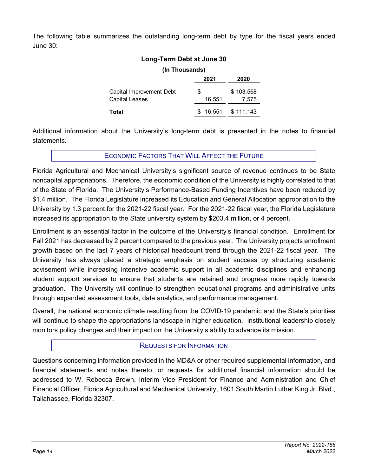The following table summarizes the outstanding long-term debt by type for the fiscal years ended June 30:

# **Long-Term Debt at June 30**

| (In Thousands)                                    |    |        |                      |
|---------------------------------------------------|----|--------|----------------------|
|                                                   |    | 2021   | 2020                 |
| Capital Improvement Debt<br><b>Capital Leases</b> | \$ | 16,551 | \$103,568<br>7,575   |
| Total                                             |    |        | $$16,551$ $$111,143$ |

Additional information about the University's long-term debt is presented in the notes to financial statements.

ECONOMIC FACTORS THAT WILL AFFECT THE FUTURE

Florida Agricultural and Mechanical University's significant source of revenue continues to be State noncapital appropriations. Therefore, the economic condition of the University is highly correlated to that of the State of Florida. The University's Performance-Based Funding Incentives have been reduced by \$1.4 million. The Florida Legislature increased its Education and General Allocation appropriation to the University by 1.3 percent for the 2021-22 fiscal year. For the 2021-22 fiscal year, the Florida Legislature increased its appropriation to the State university system by \$203.4 million, or 4 percent.

Enrollment is an essential factor in the outcome of the University's financial condition. Enrollment for Fall 2021 has decreased by 2 percent compared to the previous year. The University projects enrollment growth based on the last 7 years of historical headcount trend through the 2021-22 fiscal year. The University has always placed a strategic emphasis on student success by structuring academic advisement while increasing intensive academic support in all academic disciplines and enhancing student support services to ensure that students are retained and progress more rapidly towards graduation. The University will continue to strengthen educational programs and administrative units through expanded assessment tools, data analytics, and performance management.

Overall, the national economic climate resulting from the COVID-19 pandemic and the State's priorities will continue to shape the appropriations landscape in higher education. Institutional leadership closely monitors policy changes and their impact on the University's ability to advance its mission.

# REQUESTS FOR INFORMATION

Questions concerning information provided in the MD&A or other required supplemental information, and financial statements and notes thereto, or requests for additional financial information should be addressed to W. Rebecca Brown, Interim Vice President for Finance and Administration and Chief Financial Officer, Florida Agricultural and Mechanical University, 1601 South Martin Luther King Jr. Blvd., Tallahassee, Florida 32307.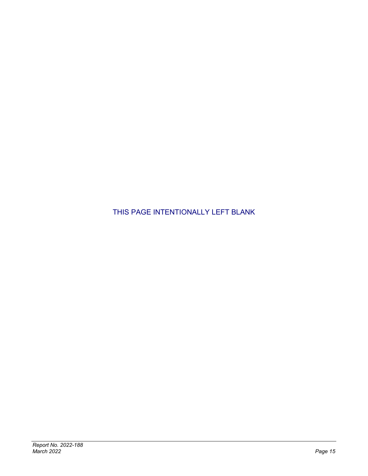THIS PAGE INTENTIONALLY LEFT BLANK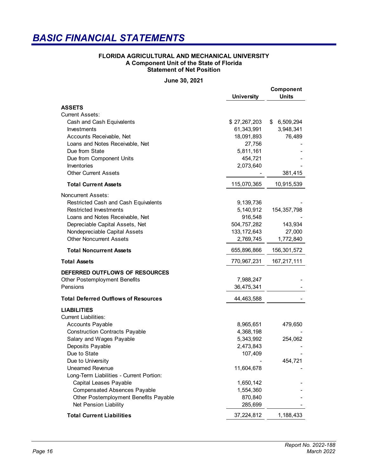# <span id="page-19-0"></span>*BASIC FINANCIAL STATEMENTS*

### **FLORIDA AGRICULTURAL AND MECHANICAL UNIVERSITY A Component Unit of the State of Florida Statement of Net Position**

**June 30, 2021** 

|                                                                    | <b>University</b> | Component<br><b>Units</b> |  |  |  |
|--------------------------------------------------------------------|-------------------|---------------------------|--|--|--|
| <b>ASSETS</b>                                                      |                   |                           |  |  |  |
| Current Assets:                                                    |                   |                           |  |  |  |
| Cash and Cash Equivalents                                          | \$27,267,203      | 6,509,294<br>\$           |  |  |  |
| Investments                                                        | 61,343,991        | 3,948,341                 |  |  |  |
| Accounts Receivable, Net                                           | 18,091,893        | 76,489                    |  |  |  |
| Loans and Notes Receivable, Net                                    | 27,756            |                           |  |  |  |
| Due from State                                                     | 5,811,161         |                           |  |  |  |
| Due from Component Units                                           | 454,721           |                           |  |  |  |
| Inventories                                                        | 2,073,640         |                           |  |  |  |
| <b>Other Current Assets</b>                                        |                   | 381,415                   |  |  |  |
| <b>Total Current Assets</b>                                        | 115,070,365       | 10,915,539                |  |  |  |
| <b>Noncurrent Assets:</b>                                          |                   |                           |  |  |  |
| Restricted Cash and Cash Equivalents                               | 9,139,736         |                           |  |  |  |
| <b>Restricted Investments</b>                                      | 5,140,912         | 154,357,798               |  |  |  |
| Loans and Notes Receivable, Net                                    | 916,548           |                           |  |  |  |
| Depreciable Capital Assets, Net                                    | 504,757,282       | 143,934                   |  |  |  |
| Nondepreciable Capital Assets                                      | 133, 172, 643     | 27,000                    |  |  |  |
| <b>Other Noncurrent Assets</b>                                     | 2,769,745         | 1,772,840                 |  |  |  |
| <b>Total Noncurrent Assets</b>                                     | 655,896,866       | 156,301,572               |  |  |  |
| <b>Total Assets</b>                                                | 770,967,231       | 167,217,111               |  |  |  |
| DEFERRED OUTFLOWS OF RESOURCES                                     |                   |                           |  |  |  |
| <b>Other Postemployment Benefits</b>                               | 7,988,247         |                           |  |  |  |
| Pensions                                                           | 36,475,341        |                           |  |  |  |
| <b>Total Deferred Outflows of Resources</b>                        | 44,463,588        |                           |  |  |  |
| <b>LIABILITIES</b>                                                 |                   |                           |  |  |  |
| <b>Current Liabilities:</b>                                        |                   |                           |  |  |  |
| <b>Accounts Payable</b>                                            | 8,965,651         | 479,650                   |  |  |  |
| <b>Construction Contracts Payable</b>                              | 4,368,198         |                           |  |  |  |
| Salary and Wages Payable                                           | 5,343,992         | 254,062                   |  |  |  |
| Deposits Payable                                                   | 2,473,843         |                           |  |  |  |
| Due to State                                                       | 107,409           |                           |  |  |  |
| Due to University                                                  |                   | 454,721                   |  |  |  |
| <b>Unearned Revenue</b>                                            | 11,604,678        |                           |  |  |  |
| Long-Term Liabilities - Current Portion:<br>Capital Leases Payable | 1,650,142         |                           |  |  |  |
| <b>Compensated Absences Payable</b>                                | 1,554,360         |                           |  |  |  |
| Other Postemployment Benefits Payable                              | 870,840           |                           |  |  |  |
| Net Pension Liability                                              | 285,699           |                           |  |  |  |
| <b>Total Current Liabilities</b>                                   | 37,224,812        | 1,188,433                 |  |  |  |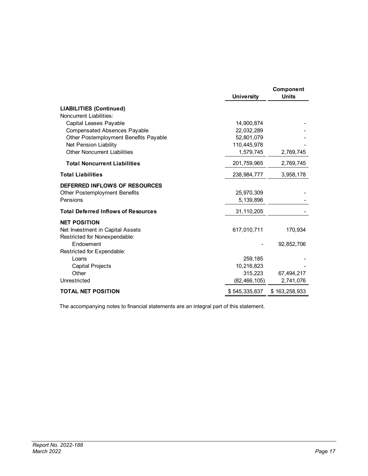|                                                                                          | <b>University</b>       | Component<br><b>Units</b> |
|------------------------------------------------------------------------------------------|-------------------------|---------------------------|
| <b>LIABILITIES (Continued)</b><br>Noncurrent Liabilities:                                |                         |                           |
| Capital Leases Payable                                                                   | 14,900,874              |                           |
| <b>Compensated Absences Payable</b>                                                      | 22,032,289              |                           |
| Other Postemployment Benefits Payable                                                    | 52,801,079              |                           |
| Net Pension Liability                                                                    | 110,445,978             |                           |
| <b>Other Noncurrent Liabilities</b>                                                      | 1,579,745               | 2,769,745                 |
| <b>Total Noncurrent Liabilities</b>                                                      | 201,759,965             | 2,769,745                 |
| <b>Total Liabilities</b>                                                                 | 238,984,777             | 3,958,178                 |
| DEFERRED INFLOWS OF RESOURCES<br><b>Other Postemployment Benefits</b><br>Pensions        | 25,970,309<br>5,139,896 |                           |
| <b>Total Deferred Inflows of Resources</b>                                               | 31,110,205              |                           |
| <b>NET POSITION</b><br>Net Investment in Capital Assets<br>Restricted for Nonexpendable: | 617,010,711             | 170.934                   |
| Endowment                                                                                |                         | 92,852,706                |
| Restricted for Expendable:                                                               |                         |                           |
| Loans                                                                                    | 259,185                 |                           |
| <b>Capital Projects</b>                                                                  | 10,216,823              |                           |
| Other                                                                                    | 315,223                 | 67,494,217                |
| Unrestricted                                                                             | (82,466,105)            | 2,741,076                 |
| <b>TOTAL NET POSITION</b>                                                                | \$545,335,837           | \$163,258,933             |

The accompanying notes to financial statements are an integral part of this statement.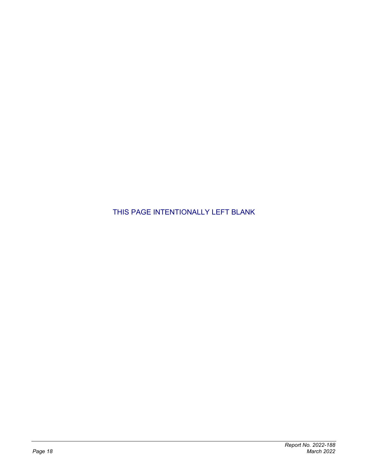THIS PAGE INTENTIONALLY LEFT BLANK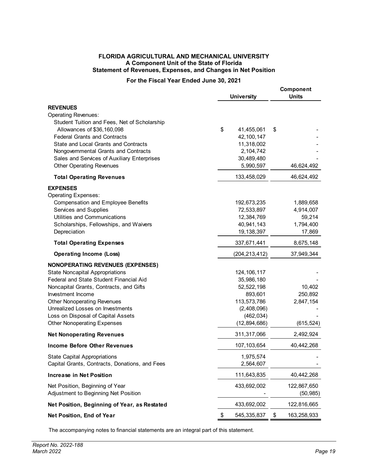### **FLORIDA AGRICULTURAL AND MECHANICAL UNIVERSITY A Component Unit of the State of Florida Statement of Revenues, Expenses, and Changes in Net Position**

### **For the Fiscal Year Ended June 30, 2021**

<span id="page-22-0"></span>

|                                                | Component         |                 |    |              |
|------------------------------------------------|-------------------|-----------------|----|--------------|
|                                                | <b>University</b> |                 |    | <b>Units</b> |
| <b>REVENUES</b>                                |                   |                 |    |              |
| <b>Operating Revenues:</b>                     |                   |                 |    |              |
| Student Tuition and Fees, Net of Scholarship   |                   |                 |    |              |
| Allowances of \$36,160,098                     | \$                | 41,455,061      | \$ |              |
| <b>Federal Grants and Contracts</b>            |                   | 42, 100, 147    |    |              |
| State and Local Grants and Contracts           |                   | 11,318,002      |    |              |
| Nongovernmental Grants and Contracts           |                   | 2,104,742       |    |              |
| Sales and Services of Auxiliary Enterprises    |                   | 30,489,480      |    |              |
| <b>Other Operating Revenues</b>                |                   | 5,990,597       |    | 46,624,492   |
| <b>Total Operating Revenues</b>                |                   | 133,458,029     |    | 46,624,492   |
| <b>EXPENSES</b>                                |                   |                 |    |              |
| <b>Operating Expenses:</b>                     |                   |                 |    |              |
| <b>Compensation and Employee Benefits</b>      |                   | 192,673,235     |    | 1,889,658    |
| Services and Supplies                          |                   | 72,533,897      |    | 4,914,007    |
| Utilities and Communications                   |                   | 12,384,769      |    | 59,214       |
| Scholarships, Fellowships, and Waivers         |                   | 40,941,143      |    | 1,794,400    |
| Depreciation                                   |                   | 19, 138, 397    |    | 17,869       |
| <b>Total Operating Expenses</b>                |                   | 337,671,441     |    | 8,675,148    |
| <b>Operating Income (Loss)</b>                 |                   | (204, 213, 412) |    | 37,949,344   |
| <b>NONOPERATING REVENUES (EXPENSES)</b>        |                   |                 |    |              |
| <b>State Noncapital Appropriations</b>         |                   | 124, 106, 117   |    |              |
| Federal and State Student Financial Aid        |                   | 35,986,180      |    |              |
| Noncapital Grants, Contracts, and Gifts        |                   | 52,522,198      |    | 10,402       |
| Investment Income                              |                   | 893,601         |    | 250,892      |
| <b>Other Nonoperating Revenues</b>             |                   | 113,573,786     |    | 2,847,154    |
| Unrealized Losses on Investments               |                   | (2,408,096)     |    |              |
| Loss on Disposal of Capital Assets             |                   | (462, 034)      |    |              |
| <b>Other Nonoperating Expenses</b>             |                   | (12,894,686)    |    | (615, 524)   |
| <b>Net Nonoperating Revenues</b>               |                   | 311,317,066     |    | 2,492,924    |
| <b>Income Before Other Revenues</b>            |                   | 107, 103, 654   |    | 40,442,268   |
| <b>State Capital Appropriations</b>            |                   | 1,975,574       |    |              |
| Capital Grants, Contracts, Donations, and Fees |                   | 2,564,607       |    |              |
| <b>Increase in Net Position</b>                |                   | 111,643,835     |    | 40,442,268   |
| Net Position, Beginning of Year                |                   | 433,692,002     |    | 122,867,650  |
| Adjustment to Beginning Net Position           |                   |                 |    | (50, 985)    |
| Net Position, Beginning of Year, as Restated   |                   | 433,692,002     |    | 122,816,665  |
| Net Position, End of Year                      | \$                | 545,335,837     | \$ | 163,258,933  |

The accompanying notes to financial statements are an integral part of this statement.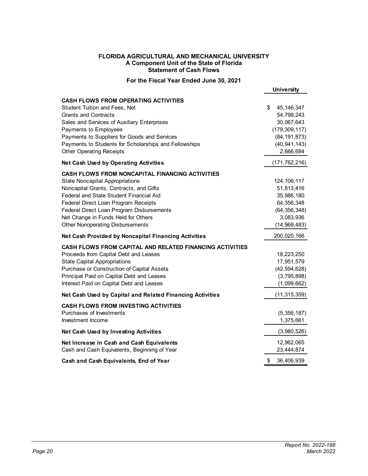### **FLORIDA AGRICULTURAL AND MECHANICAL UNIVERSITY A Component Unit of the State of Florida Statement of Cash Flows**

**For the Fiscal Year Ended June 30, 2021** 

<span id="page-23-0"></span>

|                                                                 | <b>University</b>  |
|-----------------------------------------------------------------|--------------------|
| <b>CASH FLOWS FROM OPERATING ACTIVITIES</b>                     |                    |
| Student Tuition and Fees, Net                                   | \$<br>45, 146, 347 |
| <b>Grants and Contracts</b>                                     | 54,799,243         |
| Sales and Services of Auxiliary Enterprises                     | 30,067,643         |
| Payments to Employees                                           | (179, 309, 117)    |
| Payments to Suppliers for Goods and Services                    | (84, 191, 873)     |
| Payments to Students for Scholarships and Fellowships           | (40, 941, 143)     |
| <b>Other Operating Receipts</b>                                 | 2,666,684          |
| <b>Net Cash Used by Operating Activities</b>                    | (171, 762, 216)    |
| <b>CASH FLOWS FROM NONCAPITAL FINANCING ACTIVITIES</b>          |                    |
| <b>State Noncapital Appropriations</b>                          | 124, 106, 117      |
| Noncapital Grants, Contracts, and Gifts                         | 51,813,416         |
| Federal and State Student Financial Aid                         | 35,986,180         |
| Federal Direct Loan Program Receipts                            | 64,356,348         |
| Federal Direct Loan Program Disbursements                       | (64, 356, 348)     |
| Net Change in Funds Held for Others                             | 3,083,936          |
| <b>Other Nonoperating Disbursements</b>                         | (14,969,483)       |
| Net Cash Provided by Noncapital Financing Activities            | 200,020,166        |
| <b>CASH FLOWS FROM CAPITAL AND RELATED FINANCING ACTIVITIES</b> |                    |
| Proceeds from Capital Debt and Leases                           | 18,223,250         |
| <b>State Capital Appropriations</b>                             | 17,951,579         |
| Purchase or Construction of Capital Assets                      | (42, 594, 628)     |
| Principal Paid on Capital Debt and Leases                       | (3,795,898)        |
| Interest Paid on Capital Debt and Leases                        | (1,099,662)        |
| Net Cash Used by Capital and Related Financing Activities       | (11, 315, 359)     |
| <b>CASH FLOWS FROM INVESTING ACTIVITIES</b>                     |                    |
| Purchases of Investments                                        | (5,356,187)        |
| Investment Income                                               | 1,375,661          |
| Net Cash Used by Investing Activities                           | (3,980,526)        |
| Net Increase in Cash and Cash Equivalents                       | 12,962,065         |
| Cash and Cash Equivalents, Beginning of Year                    | 23,444,874         |
| Cash and Cash Equivalents, End of Year                          | \$<br>36,406,939   |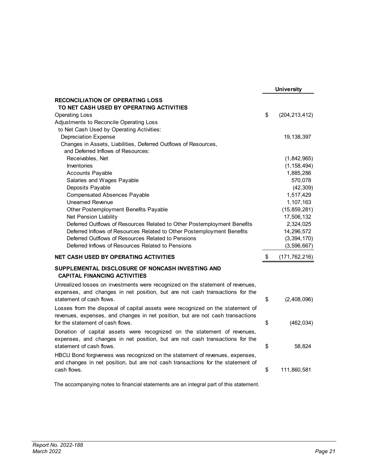|                                                                                                |                           | <b>University</b>    |  |  |  |  |
|------------------------------------------------------------------------------------------------|---------------------------|----------------------|--|--|--|--|
| <b>RECONCILIATION OF OPERATING LOSS</b>                                                        |                           |                      |  |  |  |  |
| TO NET CASH USED BY OPERATING ACTIVITIES                                                       |                           |                      |  |  |  |  |
| <b>Operating Loss</b>                                                                          | \$                        | (204, 213, 412)      |  |  |  |  |
| Adjustments to Reconcile Operating Loss                                                        |                           |                      |  |  |  |  |
| to Net Cash Used by Operating Activities:                                                      |                           |                      |  |  |  |  |
| <b>Depreciation Expense</b>                                                                    |                           | 19, 138, 397         |  |  |  |  |
| Changes in Assets, Liabilities, Deferred Outflows of Resources,                                |                           |                      |  |  |  |  |
| and Deferred Inflows of Resources:                                                             |                           |                      |  |  |  |  |
| Receivables, Net<br>Inventories                                                                |                           | (1,842,965)          |  |  |  |  |
|                                                                                                |                           | (1, 158, 494)        |  |  |  |  |
| <b>Accounts Payable</b>                                                                        |                           | 1,885,286            |  |  |  |  |
| Salaries and Wages Payable                                                                     |                           | 570,078<br>(42, 309) |  |  |  |  |
| Deposits Payable<br><b>Compensated Absences Payable</b>                                        |                           | 1,517,429            |  |  |  |  |
| <b>Unearned Revenue</b>                                                                        |                           | 1,107,163            |  |  |  |  |
| Other Postemployment Benefits Payable                                                          |                           | (15, 859, 281)       |  |  |  |  |
| Net Pension Liability                                                                          |                           | 17,506,132           |  |  |  |  |
| Deferred Outflows of Resources Related to Other Postemployment Benefits                        |                           | 2,324,025            |  |  |  |  |
| Deferred Inflows of Resources Related to Other Postemployment Benefits                         |                           | 14,296,572           |  |  |  |  |
| Deferred Outflows of Resources Related to Pensions                                             |                           | (3, 394, 170)        |  |  |  |  |
| Deferred Inflows of Resources Related to Pensions                                              |                           | (3,596,667)          |  |  |  |  |
| <b>NET CASH USED BY OPERATING ACTIVITIES</b>                                                   | $\boldsymbol{\mathsf{S}}$ | (171, 762, 216)      |  |  |  |  |
|                                                                                                |                           |                      |  |  |  |  |
| SUPPLEMENTAL DISCLOSURE OF NONCASH INVESTING AND<br><b>CAPITAL FINANCING ACTIVITIES</b>        |                           |                      |  |  |  |  |
| Unrealized losses on investments were recognized on the statement of revenues,                 |                           |                      |  |  |  |  |
| expenses, and changes in net position, but are not cash transactions for the                   |                           |                      |  |  |  |  |
| statement of cash flows.                                                                       | \$                        | (2,408,096)          |  |  |  |  |
| Losses from the disposal of capital assets were recognized on the statement of                 |                           |                      |  |  |  |  |
| revenues, expenses, and changes in net position, but are not cash transactions                 |                           |                      |  |  |  |  |
| for the statement of cash flows.                                                               | \$                        | (462, 034)           |  |  |  |  |
| Donation of capital assets were recognized on the statement of revenues,                       |                           |                      |  |  |  |  |
| expenses, and changes in net position, but are not cash transactions for the                   |                           |                      |  |  |  |  |
| statement of cash flows.                                                                       | \$                        | 58,824               |  |  |  |  |
|                                                                                                |                           |                      |  |  |  |  |
| HBCU Bond forgiveness was recognized on the statement of revenues, expenses,                   |                           |                      |  |  |  |  |
| and changes in net position, but are not cash transactions for the statement of<br>cash flows. | \$                        | 111,860,581          |  |  |  |  |
|                                                                                                |                           |                      |  |  |  |  |
|                                                                                                |                           |                      |  |  |  |  |

The accompanying notes to financial statements are an integral part of this statement.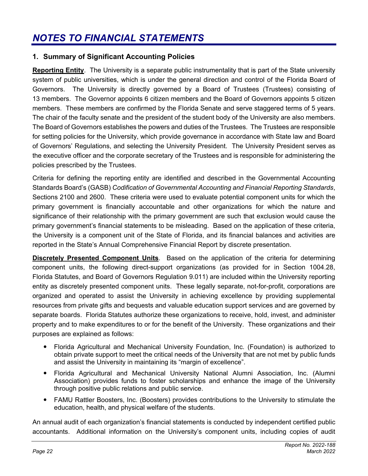# <span id="page-25-0"></span>*NOTES TO FINANCIAL STATEMENTS*

# **1. Summary of Significant Accounting Policies**

**Reporting Entity**. The University is a separate public instrumentality that is part of the State university system of public universities, which is under the general direction and control of the Florida Board of Governors. The University is directly governed by a Board of Trustees (Trustees) consisting of 13 members. The Governor appoints 6 citizen members and the Board of Governors appoints 5 citizen members. These members are confirmed by the Florida Senate and serve staggered terms of 5 years. The chair of the faculty senate and the president of the student body of the University are also members. The Board of Governors establishes the powers and duties of the Trustees. The Trustees are responsible for setting policies for the University, which provide governance in accordance with State law and Board of Governors' Regulations, and selecting the University President. The University President serves as the executive officer and the corporate secretary of the Trustees and is responsible for administering the policies prescribed by the Trustees.

Criteria for defining the reporting entity are identified and described in the Governmental Accounting Standards Board's (GASB) *Codification of Governmental Accounting and Financial Reporting Standards*, Sections 2100 and 2600. These criteria were used to evaluate potential component units for which the primary government is financially accountable and other organizations for which the nature and significance of their relationship with the primary government are such that exclusion would cause the primary government's financial statements to be misleading. Based on the application of these criteria, the University is a component unit of the State of Florida, and its financial balances and activities are reported in the State's Annual Comprehensive Financial Report by discrete presentation.

**Discretely Presented Component Units**. Based on the application of the criteria for determining component units, the following direct-support organizations (as provided for in Section 1004.28, Florida Statutes, and Board of Governors Regulation 9.011) are included within the University reporting entity as discretely presented component units. These legally separate, not-for-profit, corporations are organized and operated to assist the University in achieving excellence by providing supplemental resources from private gifts and bequests and valuable education support services and are governed by separate boards. Florida Statutes authorize these organizations to receive, hold, invest, and administer property and to make expenditures to or for the benefit of the University. These organizations and their purposes are explained as follows:

- Florida Agricultural and Mechanical University Foundation, Inc. (Foundation) is authorized to obtain private support to meet the critical needs of the University that are not met by public funds and assist the University in maintaining its "margin of excellence".
- Florida Agricultural and Mechanical University National Alumni Association, Inc. (Alumni Association) provides funds to foster scholarships and enhance the image of the University through positive public relations and public service.
- FAMU Rattler Boosters, Inc. (Boosters) provides contributions to the University to stimulate the education, health, and physical welfare of the students.

An annual audit of each organization's financial statements is conducted by independent certified public accountants. Additional information on the University's component units, including copies of audit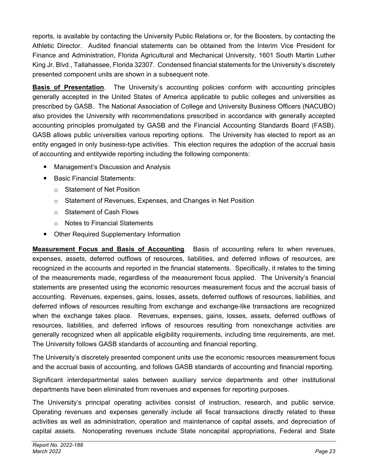reports, is available by contacting the University Public Relations or, for the Boosters, by contacting the Athletic Director. Audited financial statements can be obtained from the Interim Vice President for Finance and Administration, Florida Agricultural and Mechanical University, 1601 South Martin Luther King Jr. Blvd., Tallahassee, Florida 32307. Condensed financial statements for the University's discretely presented component units are shown in a subsequent note.

**Basis of Presentation**. The University's accounting policies conform with accounting principles generally accepted in the United States of America applicable to public colleges and universities as prescribed by GASB. The National Association of College and University Business Officers (NACUBO) also provides the University with recommendations prescribed in accordance with generally accepted accounting principles promulgated by GASB and the Financial Accounting Standards Board (FASB). GASB allows public universities various reporting options. The University has elected to report as an entity engaged in only business-type activities. This election requires the adoption of the accrual basis of accounting and entitywide reporting including the following components:

- Management's Discussion and Analysis
- Basic Financial Statements:
	- o Statement of Net Position
	- o Statement of Revenues, Expenses, and Changes in Net Position
	- o Statement of Cash Flows
	- o Notes to Financial Statements
- Other Required Supplementary Information

**Measurement Focus and Basis of Accounting**. Basis of accounting refers to when revenues, expenses, assets, deferred outflows of resources, liabilities, and deferred inflows of resources, are recognized in the accounts and reported in the financial statements. Specifically, it relates to the timing of the measurements made, regardless of the measurement focus applied. The University's financial statements are presented using the economic resources measurement focus and the accrual basis of accounting. Revenues, expenses, gains, losses, assets, deferred outflows of resources, liabilities, and deferred inflows of resources resulting from exchange and exchange-like transactions are recognized when the exchange takes place. Revenues, expenses, gains, losses, assets, deferred outflows of resources, liabilities, and deferred inflows of resources resulting from nonexchange activities are generally recognized when all applicable eligibility requirements, including time requirements, are met. The University follows GASB standards of accounting and financial reporting.

The University's discretely presented component units use the economic resources measurement focus and the accrual basis of accounting, and follows GASB standards of accounting and financial reporting.

Significant interdepartmental sales between auxiliary service departments and other institutional departments have been eliminated from revenues and expenses for reporting purposes.

The University's principal operating activities consist of instruction, research, and public service. Operating revenues and expenses generally include all fiscal transactions directly related to these activities as well as administration, operation and maintenance of capital assets, and depreciation of capital assets. Nonoperating revenues include State noncapital appropriations, Federal and State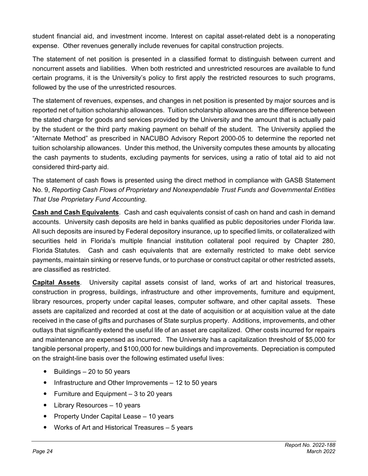student financial aid, and investment income. Interest on capital asset-related debt is a nonoperating expense. Other revenues generally include revenues for capital construction projects.

The statement of net position is presented in a classified format to distinguish between current and noncurrent assets and liabilities. When both restricted and unrestricted resources are available to fund certain programs, it is the University's policy to first apply the restricted resources to such programs, followed by the use of the unrestricted resources.

The statement of revenues, expenses, and changes in net position is presented by major sources and is reported net of tuition scholarship allowances. Tuition scholarship allowances are the difference between the stated charge for goods and services provided by the University and the amount that is actually paid by the student or the third party making payment on behalf of the student. The University applied the "Alternate Method" as prescribed in NACUBO Advisory Report 2000-05 to determine the reported net tuition scholarship allowances. Under this method, the University computes these amounts by allocating the cash payments to students, excluding payments for services, using a ratio of total aid to aid not considered third-party aid.

The statement of cash flows is presented using the direct method in compliance with GASB Statement No. 9, *Reporting Cash Flows of Proprietary and Nonexpendable Trust Funds and Governmental Entities That Use Proprietary Fund Accounting*.

**Cash and Cash Equivalents**. Cash and cash equivalents consist of cash on hand and cash in demand accounts. University cash deposits are held in banks qualified as public depositories under Florida law. All such deposits are insured by Federal depository insurance, up to specified limits, or collateralized with securities held in Florida's multiple financial institution collateral pool required by Chapter 280, Florida Statutes. Cash and cash equivalents that are externally restricted to make debt service payments, maintain sinking or reserve funds, or to purchase or construct capital or other restricted assets, are classified as restricted.

**Capital Assets**. University capital assets consist of land, works of art and historical treasures, construction in progress, buildings, infrastructure and other improvements, furniture and equipment, library resources, property under capital leases, computer software, and other capital assets. These assets are capitalized and recorded at cost at the date of acquisition or at acquisition value at the date received in the case of gifts and purchases of State surplus property. Additions, improvements, and other outlays that significantly extend the useful life of an asset are capitalized. Other costs incurred for repairs and maintenance are expensed as incurred. The University has a capitalization threshold of \$5,000 for tangible personal property, and \$100,000 for new buildings and improvements. Depreciation is computed on the straight-line basis over the following estimated useful lives:

- $\bullet$  Buildings 20 to 50 years
- $\bullet$  Infrastructure and Other Improvements  $-12$  to 50 years
- Furniture and Equipment  $-3$  to 20 years
- Library Resources 10 years
- Property Under Capital Lease 10 years
- Works of Art and Historical Treasures 5 years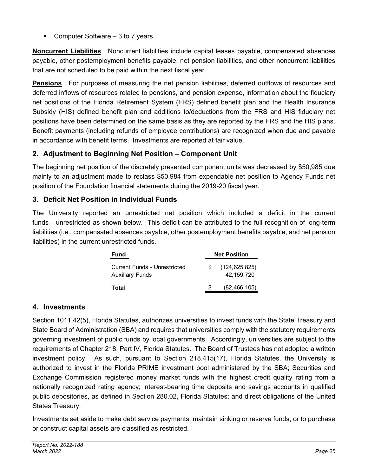Computer Software – 3 to 7 years

**Noncurrent Liabilities**. Noncurrent liabilities include capital leases payable, compensated absences payable, other postemployment benefits payable, net pension liabilities, and other noncurrent liabilities that are not scheduled to be paid within the next fiscal year.

**Pensions**. For purposes of measuring the net pension liabilities, deferred outflows of resources and deferred inflows of resources related to pensions, and pension expense, information about the fiduciary net positions of the Florida Retirement System (FRS) defined benefit plan and the Health Insurance Subsidy (HIS) defined benefit plan and additions to/deductions from the FRS and HIS fiduciary net positions have been determined on the same basis as they are reported by the FRS and the HIS plans. Benefit payments (including refunds of employee contributions) are recognized when due and payable in accordance with benefit terms. Investments are reported at fair value.

# **2. Adjustment to Beginning Net Position – Component Unit**

The beginning net position of the discretely presented component units was decreased by \$50,985 due mainly to an adjustment made to reclass \$50,984 from expendable net position to Agency Funds net position of the Foundation financial statements during the 2019-20 fiscal year.

# **3. Deficit Net Position in Individual Funds**

The University reported an unrestricted net position which included a deficit in the current funds – unrestricted as shown below. This deficit can be attributed to the full recognition of long-term liabilities (i.e., compensated absences payable, other postemployment benefits payable, and net pension liabilities) in the current unrestricted funds.

| Fund                                                          | <b>Net Position</b> |                               |  |  |  |  |
|---------------------------------------------------------------|---------------------|-------------------------------|--|--|--|--|
| <b>Current Funds - Unrestricted</b><br><b>Auxiliary Funds</b> |                     | (124, 625, 825)<br>42.159.720 |  |  |  |  |
| Total                                                         | \$.                 | (82, 466, 105)                |  |  |  |  |

# **4. Investments**

Section 1011.42(5), Florida Statutes, authorizes universities to invest funds with the State Treasury and State Board of Administration (SBA) and requires that universities comply with the statutory requirements governing investment of public funds by local governments. Accordingly, universities are subject to the requirements of Chapter 218, Part IV, Florida Statutes. The Board of Trustees has not adopted a written investment policy. As such, pursuant to Section 218.415(17), Florida Statutes, the University is authorized to invest in the Florida PRIME investment pool administered by the SBA; Securities and Exchange Commission registered money market funds with the highest credit quality rating from a nationally recognized rating agency; interest-bearing time deposits and savings accounts in qualified public depositories, as defined in Section 280.02, Florida Statutes; and direct obligations of the United States Treasury.

Investments set aside to make debt service payments, maintain sinking or reserve funds, or to purchase or construct capital assets are classified as restricted.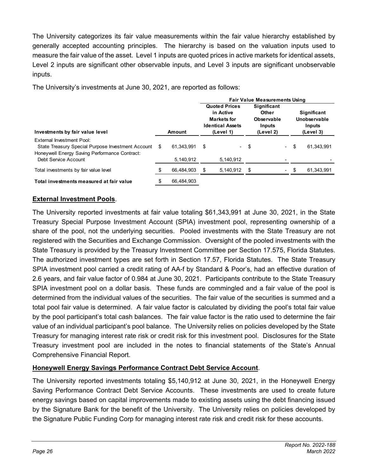The University categorizes its fair value measurements within the fair value hierarchy established by generally accepted accounting principles. The hierarchy is based on the valuation inputs used to measure the fair value of the asset. Level 1 inputs are quoted prices in active markets for identical assets, Level 2 inputs are significant other observable inputs, and Level 3 inputs are significant unobservable inputs.

|                                                                                                                                                         |    |                         | <b>Fair Value Measurements Using</b> |                                                                                                 |      |                                                                         |                                                    |            |  |  |  |
|---------------------------------------------------------------------------------------------------------------------------------------------------------|----|-------------------------|--------------------------------------|-------------------------------------------------------------------------------------------------|------|-------------------------------------------------------------------------|----------------------------------------------------|------------|--|--|--|
| Investments by fair value level                                                                                                                         |    | Amount                  |                                      | <b>Quoted Prices</b><br>in Active<br><b>Markets for</b><br><b>Identical Assets</b><br>(Level 1) |      | <b>Significant</b><br>Other<br><b>Observable</b><br>Inputs<br>(Level 2) | Significant<br>Unobservable<br>Inputs<br>(Level 3) |            |  |  |  |
| External Investment Pool:<br>State Treasury Special Purpose Investment Account<br>Honeywell Energy Saving Performance Contract:<br>Debt Service Account | S  | 61.343.991<br>5,140,912 | \$                                   | 5,140,912                                                                                       | - \$ |                                                                         | \$<br>$\sim$                                       | 61.343.991 |  |  |  |
| Total investments by fair value level                                                                                                                   |    | 66.484.903              |                                      | 5.140.912                                                                                       | - \$ |                                                                         | $-$ \$                                             | 61.343.991 |  |  |  |
| Total investments measured at fair value                                                                                                                | \$ | 66.484.903              |                                      |                                                                                                 |      |                                                                         |                                                    |            |  |  |  |

The University's investments at June 30, 2021, are reported as follows:

# **External Investment Pools**.

The University reported investments at fair value totaling \$61,343,991 at June 30, 2021, in the State Treasury Special Purpose Investment Account (SPIA) investment pool, representing ownership of a share of the pool, not the underlying securities. Pooled investments with the State Treasury are not registered with the Securities and Exchange Commission. Oversight of the pooled investments with the State Treasury is provided by the Treasury Investment Committee per Section 17.575, Florida Statutes. The authorized investment types are set forth in Section 17.57, Florida Statutes. The State Treasury SPIA investment pool carried a credit rating of AA-f by Standard & Poor's, had an effective duration of 2.6 years, and fair value factor of 0.984 at June 30, 2021. Participants contribute to the State Treasury SPIA investment pool on a dollar basis. These funds are commingled and a fair value of the pool is determined from the individual values of the securities. The fair value of the securities is summed and a total pool fair value is determined. A fair value factor is calculated by dividing the pool's total fair value by the pool participant's total cash balances. The fair value factor is the ratio used to determine the fair value of an individual participant's pool balance. The University relies on policies developed by the State Treasury for managing interest rate risk or credit risk for this investment pool. Disclosures for the State Treasury investment pool are included in the notes to financial statements of the State's Annual Comprehensive Financial Report.

# **Honeywell Energy Savings Performance Contract Debt Service Account**.

The University reported investments totaling \$5,140,912 at June 30, 2021, in the Honeywell Energy Saving Performance Contract Debt Service Accounts. These investments are used to create future energy savings based on capital improvements made to existing assets using the debt financing issued by the Signature Bank for the benefit of the University. The University relies on policies developed by the Signature Public Funding Corp for managing interest rate risk and credit risk for these accounts.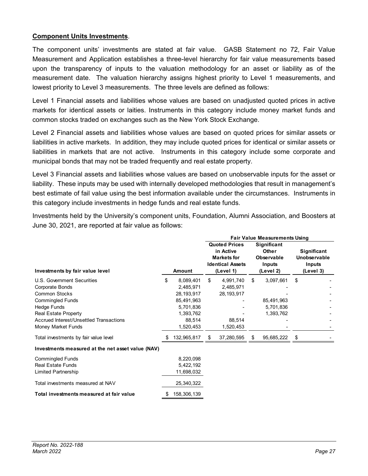# **Component Units Investments**.

The component units' investments are stated at fair value. GASB Statement no 72, Fair Value Measurement and Application establishes a three-level hierarchy for fair value measurements based upon the transparency of inputs to the valuation methodology for an asset or liability as of the measurement date. The valuation hierarchy assigns highest priority to Level 1 measurements, and lowest priority to Level 3 measurements. The three levels are defined as follows:

Level 1 Financial assets and liabilities whose values are based on unadjusted quoted prices in active markets for identical assets or laities. Instruments in this category include money market funds and common stocks traded on exchanges such as the New York Stock Exchange.

Level 2 Financial assets and liabilities whose values are based on quoted prices for similar assets or liabilities in active markets. In addition, they may include quoted prices for identical or similar assets or liabilities in markets that are not active. Instruments in this category include some corporate and municipal bonds that may not be traded frequently and real estate property.

Level 3 Financial assets and liabilities whose values are based on unobservable inputs for the asset or liability. These inputs may be used with internally developed methodologies that result in management's best estimate of fail value using the best information available under the circumstances. Instruments in this category include investments in hedge funds and real estate funds.

Investments held by the University's component units, Foundation, Alumni Association, and Boosters at June 30, 2021, are reported at fair value as follows:

|                                                                                                             |                                                            | <b>Fair Value Measurements Using</b>                                                            |                                        |    |                         |                                                                  |  |                                                           |  |
|-------------------------------------------------------------------------------------------------------------|------------------------------------------------------------|-------------------------------------------------------------------------------------------------|----------------------------------------|----|-------------------------|------------------------------------------------------------------|--|-----------------------------------------------------------|--|
| Investments by fair value level                                                                             | <b>Amount</b>                                              | <b>Quoted Prices</b><br>in Active<br><b>Markets for</b><br><b>Identical Assets</b><br>(Level 1) |                                        |    |                         | Significant<br>Other<br><b>Observable</b><br>Inputs<br>(Level 2) |  | <b>Significant</b><br>Unobservable<br>Inputs<br>(Level 3) |  |
| U.S. Government Securities<br><b>Corporate Bonds</b><br><b>Common Stocks</b><br><b>Commingled Funds</b>     | \$<br>8,089,401<br>2,485,971<br>28, 193, 917<br>85,491,963 | \$                                                                                              | 4,991,740<br>2,485,971<br>28, 193, 917 | \$ | 3,097,661<br>85,491,963 | \$                                                               |  |                                                           |  |
| Hedge Funds<br><b>Real Estate Property</b><br>Accrued Interest/Unsettled Transactions<br>Money Market Funds | 5,701,836<br>1,393,762<br>88,514<br>1,520,453              |                                                                                                 | 88.514<br>1,520,453                    |    | 5,701,836<br>1,393,762  |                                                                  |  |                                                           |  |
| Total investments by fair value level                                                                       | 132,965,817                                                |                                                                                                 | 37,280,595                             | \$ | 95,685,222              | \$                                                               |  |                                                           |  |
| Investments measured at the net asset value (NAV)<br><b>Commingled Funds</b>                                | 8,220,098                                                  |                                                                                                 |                                        |    |                         |                                                                  |  |                                                           |  |
| <b>Real Estate Funds</b><br>Limited Partnership                                                             | 5,422,192<br>11,698,032                                    |                                                                                                 |                                        |    |                         |                                                                  |  |                                                           |  |
| Total investments measured at NAV                                                                           | 25,340,322                                                 |                                                                                                 |                                        |    |                         |                                                                  |  |                                                           |  |
| Total investments measured at fair value                                                                    | 158,306,139                                                |                                                                                                 |                                        |    |                         |                                                                  |  |                                                           |  |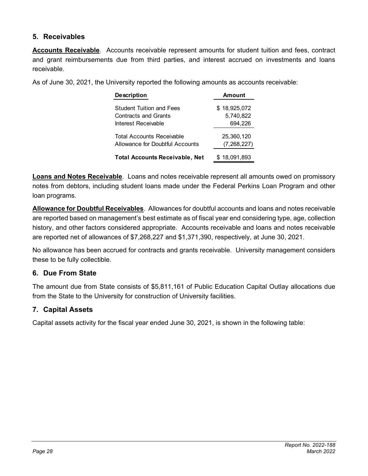# **5. Receivables**

**Accounts Receivable**. Accounts receivable represent amounts for student tuition and fees, contract and grant reimbursements due from third parties, and interest accrued on investments and loans receivable.

As of June 30, 2021, the University reported the following amounts as accounts receivable:

| <b>Description</b>                    | Amount        |
|---------------------------------------|---------------|
| <b>Student Tuition and Fees</b>       | \$18,925,072  |
| Contracts and Grants                  | 5,740,822     |
| Interest Receivable                   | 694,226       |
| <b>Total Accounts Receivable</b>      | 25,360,120    |
| Allowance for Doubtful Accounts       | (7, 268, 227) |
| <b>Total Accounts Receivable, Net</b> | \$18,091,893  |

**Loans and Notes Receivable**. Loans and notes receivable represent all amounts owed on promissory notes from debtors, including student loans made under the Federal Perkins Loan Program and other loan programs.

**Allowance for Doubtful Receivables**. Allowances for doubtful accounts and loans and notes receivable are reported based on management's best estimate as of fiscal year end considering type, age, collection history, and other factors considered appropriate. Accounts receivable and loans and notes receivable are reported net of allowances of \$7,268,227 and \$1,371,390, respectively, at June 30, 2021.

No allowance has been accrued for contracts and grants receivable. University management considers these to be fully collectible.

# **6. Due From State**

The amount due from State consists of \$5,811,161 of Public Education Capital Outlay allocations due from the State to the University for construction of University facilities.

# **7. Capital Assets**

Capital assets activity for the fiscal year ended June 30, 2021, is shown in the following table: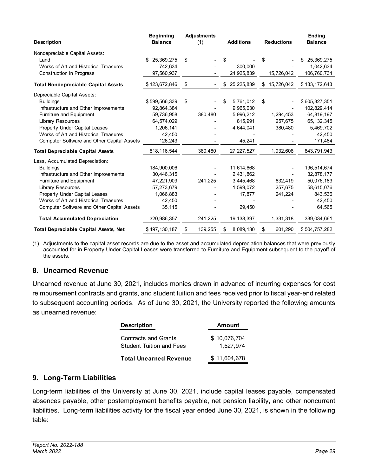| <b>Description</b>                                | <b>Beginning</b><br><b>Balance</b> | <b>Adjustments</b><br>(1) |    | <b>Additions</b> |    | <b>Reductions</b> | <b>Ending</b><br><b>Balance</b> |
|---------------------------------------------------|------------------------------------|---------------------------|----|------------------|----|-------------------|---------------------------------|
| Nondepreciable Capital Assets:                    |                                    |                           |    |                  |    |                   |                                 |
| Land                                              | 25,369,275                         | \$                        | \$ |                  | \$ |                   | 25,369,275<br>\$                |
| Works of Art and Historical Treasures             | 742,634                            |                           |    | 300,000          |    |                   | 1,042,634                       |
| <b>Construction in Progress</b>                   | 97,560,937                         |                           |    | 24,925,839       |    | 15,726,042        | 106,760,734                     |
| <b>Total Nondepreciable Capital Assets</b>        | \$123,672,846                      | \$                        |    | \$25,225,839     | \$ | 15,726,042        | \$133,172,643                   |
| Depreciable Capital Assets:                       |                                    |                           |    |                  |    |                   |                                 |
| <b>Buildings</b>                                  | \$599,566,339                      | \$                        | \$ | 5,761,012        | \$ |                   | \$605,327,351                   |
| Infrastructure and Other Improvements             | 92,864,384                         |                           |    | 9.965.030        |    |                   | 102,829,414                     |
| Furniture and Equipment                           | 59,736,958                         | 380,480                   |    | 5,996,212        |    | 1,294,453         | 64,819,197                      |
| <b>Library Resources</b>                          | 64,574,029                         |                           |    | 815.991          |    | 257.675           | 65, 132, 345                    |
| Property Under Capital Leases                     | 1,206,141                          |                           |    | 4,644,041        |    | 380,480           | 5,469,702                       |
| Works of Art and Historical Treasures             | 42.450                             |                           |    |                  |    |                   | 42,450                          |
| <b>Computer Software and Other Capital Assets</b> | 126,243                            |                           |    | 45,241           |    |                   | 171,484                         |
| <b>Total Depreciable Capital Assets</b>           | 818, 116, 544                      | 380,480                   |    | 27,227,527       |    | 1,932,608         | 843,791,943                     |
| Less, Accumulated Depreciation:                   |                                    |                           |    |                  |    |                   |                                 |
| <b>Buildings</b>                                  | 184,900,006                        |                           |    | 11,614,668       |    |                   | 196,514,674                     |
| Infrastructure and Other Improvements             | 30,446,315                         |                           |    | 2,431,862        |    |                   | 32,878,177                      |
| <b>Furniture and Equipment</b>                    | 47,221,909                         | 241,225                   |    | 3,445,468        |    | 832,419           | 50,076,183                      |
| <b>Library Resources</b>                          | 57,273,679                         |                           |    | 1,599,072        |    | 257,675           | 58,615,076                      |
| Property Under Capital Leases                     | 1,066,883                          |                           |    | 17,877           |    | 241,224           | 843,536                         |
| Works of Art and Historical Treasures             | 42,450                             |                           |    |                  |    |                   | 42,450                          |
| <b>Computer Software and Other Capital Assets</b> | 35,115                             |                           |    | 29,450           |    |                   | 64,565                          |
| <b>Total Accumulated Depreciation</b>             | 320,986,357                        | 241,225                   |    | 19, 138, 397     |    | 1,331,318         | 339,034,661                     |
| <b>Total Depreciable Capital Assets, Net</b>      | \$497,130,187                      | \$<br>139,255             | \$ | 8,089,130        | \$ | 601,290           | \$504,757,282                   |

(1) Adjustments to the capital asset records are due to the asset and accumulated depreciation balances that were previously accounted for in Property Under Capital Leases were transferred to Furniture and Equipment subsequent to the payoff of the assets.

# **8. Unearned Revenue**

Unearned revenue at June 30, 2021, includes monies drawn in advance of incurring expenses for cost reimbursement contracts and grants, and student tuition and fees received prior to fiscal year-end related to subsequent accounting periods. As of June 30, 2021, the University reported the following amounts as unearned revenue:

| <b>Description</b>                                             | <b>Amount</b>             |
|----------------------------------------------------------------|---------------------------|
| <b>Contracts and Grants</b><br><b>Student Tuition and Fees</b> | \$10,076,704<br>1,527,974 |
| <b>Total Unearned Revenue</b>                                  | \$11,604,678              |

# **9. Long-Term Liabilities**

Long-term liabilities of the University at June 30, 2021, include capital leases payable, compensated absences payable, other postemployment benefits payable, net pension liability, and other noncurrent liabilities. Long-term liabilities activity for the fiscal year ended June 30, 2021, is shown in the following table: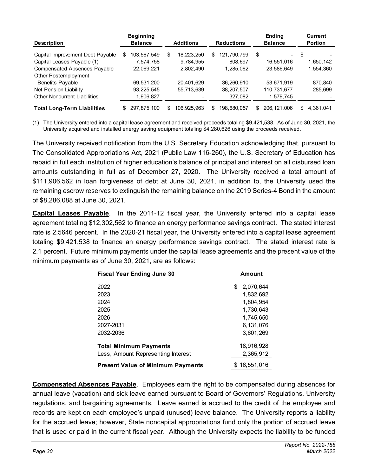| <b>Description</b>                  |   | <b>Beginning</b><br><b>Balance</b> | <b>Additions</b> |             | <b>Reductions</b> |             | <b>Ending</b><br><b>Balance</b> |               |      | <b>Current</b><br><b>Portion</b> |
|-------------------------------------|---|------------------------------------|------------------|-------------|-------------------|-------------|---------------------------------|---------------|------|----------------------------------|
| Capital Improvement Debt Payable    | S | 103,567,549                        | S                | 18.223.250  | \$                | 121,790,799 | S                               | $\sim$        | - \$ |                                  |
| Capital Leases Payable (1)          |   | 7.574.758                          |                  | 9.784.955   |                   | 808.697     |                                 | 16,551,016    |      | 1,650,142                        |
| <b>Compensated Absences Payable</b> |   | 22,069,221                         |                  | 2,802,490   |                   | 1,285,062   |                                 | 23,586,649    |      | 1,554,360                        |
| Other Postemployment                |   |                                    |                  |             |                   |             |                                 |               |      |                                  |
| <b>Benefits Payable</b>             |   | 69,531,200                         |                  | 20,401,629  |                   | 36,260,910  |                                 | 53,671,919    |      | 870,840                          |
| Net Pension Liability               |   | 93,225,545                         |                  | 55,713,639  |                   | 38,207,507  |                                 | 110,731,677   |      | 285.699                          |
| <b>Other Noncurrent Liabilities</b> |   | 1,906,827                          |                  |             |                   | 327,082     |                                 | 1,579,745     |      |                                  |
| <b>Total Long-Term Liabilities</b>  |   | 297,875,100                        | \$.              | 106,925,963 | \$.               | 198.680.057 | \$                              | 206, 121, 006 | \$.  | 4,361,041                        |

(1) The University entered into a capital lease agreement and received proceeds totaling \$9,421,538. As of June 30, 2021, the University acquired and installed energy saving equipment totaling \$4,280,626 using the proceeds received.

The University received notification from the U.S. Secretary Education acknowledging that, pursuant to The Consolidated Appropriations Act, 2021 (Public Law 116-260), the U.S. Secretary of Education has repaid in full each institution of higher education's balance of principal and interest on all disbursed loan amounts outstanding in full as of December 27, 2020. The University received a total amount of \$111,906,562 in loan forgiveness of debt at June 30, 2021, in addition to, the University used the remaining escrow reserves to extinguish the remaining balance on the 2019 Series-4 Bond in the amount of \$8,286,088 at June 30, 2021.

**Capital Leases Payable**. In the 2011-12 fiscal year, the University entered into a capital lease agreement totaling \$12,302,562 to finance an energy performance savings contract. The stated interest rate is 2.5646 percent. In the 2020-21 fiscal year, the University entered into a capital lease agreement totaling \$9,421,538 to finance an energy performance savings contract. The stated interest rate is 2.1 percent. Future minimum payments under the capital lease agreements and the present value of the minimum payments as of June 30, 2021, are as follows:

| <b>Fiscal Year Ending June 30</b>                                   | Amount                                                                                        |
|---------------------------------------------------------------------|-----------------------------------------------------------------------------------------------|
| 2022<br>2023<br>2024<br>2025<br>2026<br>2027-2031<br>2032-2036      | 2.070.644<br>\$<br>1,832,692<br>1,804,954<br>1,730,643<br>1.745.650<br>6,131,076<br>3,601,269 |
| <b>Total Minimum Payments</b><br>Less, Amount Representing Interest | 18,916,928<br>2,365,912                                                                       |
| <b>Present Value of Minimum Payments</b>                            | \$16.551.016                                                                                  |

**Compensated Absences Payable**. Employees earn the right to be compensated during absences for annual leave (vacation) and sick leave earned pursuant to Board of Governors' Regulations, University regulations, and bargaining agreements. Leave earned is accrued to the credit of the employee and records are kept on each employee's unpaid (unused) leave balance. The University reports a liability for the accrued leave; however, State noncapital appropriations fund only the portion of accrued leave that is used or paid in the current fiscal year. Although the University expects the liability to be funded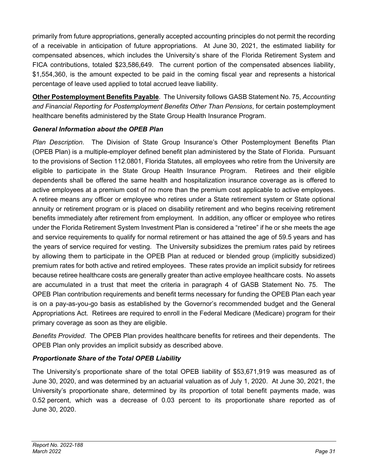primarily from future appropriations, generally accepted accounting principles do not permit the recording of a receivable in anticipation of future appropriations. At June 30, 2021, the estimated liability for compensated absences, which includes the University's share of the Florida Retirement System and FICA contributions, totaled \$23,586,649. The current portion of the compensated absences liability, \$1,554,360, is the amount expected to be paid in the coming fiscal year and represents a historical percentage of leave used applied to total accrued leave liability.

**Other Postemployment Benefits Payable**. The University follows GASB Statement No. 75, *Accounting and Financial Reporting for Postemployment Benefits Other Than Pensions*, for certain postemployment healthcare benefits administered by the State Group Health Insurance Program.

# *General Information about the OPEB Plan*

*Plan Description*. The Division of State Group Insurance's Other Postemployment Benefits Plan (OPEB Plan) is a multiple-employer defined benefit plan administered by the State of Florida. Pursuant to the provisions of Section 112.0801, Florida Statutes, all employees who retire from the University are eligible to participate in the State Group Health Insurance Program. Retirees and their eligible dependents shall be offered the same health and hospitalization insurance coverage as is offered to active employees at a premium cost of no more than the premium cost applicable to active employees. A retiree means any officer or employee who retires under a State retirement system or State optional annuity or retirement program or is placed on disability retirement and who begins receiving retirement benefits immediately after retirement from employment. In addition, any officer or employee who retires under the Florida Retirement System Investment Plan is considered a "retiree" if he or she meets the age and service requirements to qualify for normal retirement or has attained the age of 59.5 years and has the years of service required for vesting. The University subsidizes the premium rates paid by retirees by allowing them to participate in the OPEB Plan at reduced or blended group (implicitly subsidized) premium rates for both active and retired employees. These rates provide an implicit subsidy for retirees because retiree healthcare costs are generally greater than active employee healthcare costs. No assets are accumulated in a trust that meet the criteria in paragraph 4 of GASB Statement No. 75. The OPEB Plan contribution requirements and benefit terms necessary for funding the OPEB Plan each year is on a pay-as-you-go basis as established by the Governor's recommended budget and the General Appropriations Act. Retirees are required to enroll in the Federal Medicare (Medicare) program for their primary coverage as soon as they are eligible.

*Benefits Provided*. The OPEB Plan provides healthcare benefits for retirees and their dependents. The OPEB Plan only provides an implicit subsidy as described above.

# *Proportionate Share of the Total OPEB Liability*

The University's proportionate share of the total OPEB liability of \$53,671,919 was measured as of June 30, 2020, and was determined by an actuarial valuation as of July 1, 2020. At June 30, 2021, the University's proportionate share, determined by its proportion of total benefit payments made, was 0.52 percent, which was a decrease of 0.03 percent to its proportionate share reported as of June 30, 2020.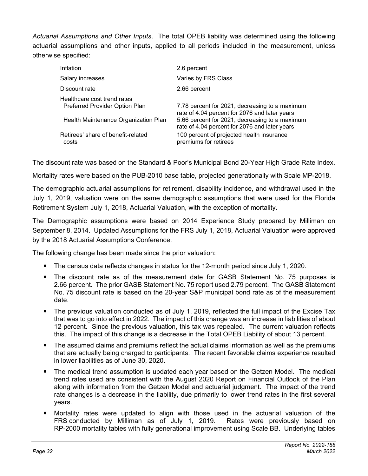*Actuarial Assumptions and Other Inputs*. The total OPEB liability was determined using the following actuarial assumptions and other inputs, applied to all periods included in the measurement, unless otherwise specified:

| Inflation                                                     | 2.6 percent                                                                                     |
|---------------------------------------------------------------|-------------------------------------------------------------------------------------------------|
| Salary increases                                              | Varies by FRS Class                                                                             |
| Discount rate                                                 | 2.66 percent                                                                                    |
| Healthcare cost trend rates<br>Preferred Provider Option Plan | 7.78 percent for 2021, decreasing to a maximum<br>rate of 4.04 percent for 2076 and later years |
| Health Maintenance Organization Plan                          | 5.66 percent for 2021, decreasing to a maximum<br>rate of 4.04 percent for 2076 and later years |
| Retirees' share of benefit-related<br>costs                   | 100 percent of projected health insurance<br>premiums for retirees                              |

The discount rate was based on the Standard & Poor's Municipal Bond 20-Year High Grade Rate Index.

Mortality rates were based on the PUB-2010 base table, projected generationally with Scale MP-2018.

The demographic actuarial assumptions for retirement, disability incidence, and withdrawal used in the July 1, 2019, valuation were on the same demographic assumptions that were used for the Florida Retirement System July 1, 2018, Actuarial Valuation, with the exception of mortality.

The Demographic assumptions were based on 2014 Experience Study prepared by Milliman on September 8, 2014. Updated Assumptions for the FRS July 1, 2018, Actuarial Valuation were approved by the 2018 Actuarial Assumptions Conference.

The following change has been made since the prior valuation:

- The census data reflects changes in status for the 12-month period since July 1, 2020.
- The discount rate as of the measurement date for GASB Statement No. 75 purposes is 2.66 percent. The prior GASB Statement No. 75 report used 2.79 percent. The GASB Statement No. 75 discount rate is based on the 20-year S&P municipal bond rate as of the measurement date.
- The previous valuation conducted as of July 1, 2019, reflected the full impact of the Excise Tax that was to go into effect in 2022. The impact of this change was an increase in liabilities of about 12 percent. Since the previous valuation, this tax was repealed. The current valuation reflects this. The impact of this change is a decrease in the Total OPEB Liability of about 13 percent.
- The assumed claims and premiums reflect the actual claims information as well as the premiums that are actually being charged to participants. The recent favorable claims experience resulted in lower liabilities as of June 30, 2020.
- The medical trend assumption is updated each year based on the Getzen Model. The medical trend rates used are consistent with the August 2020 Report on Financial Outlook of the Plan along with information from the Getzen Model and actuarial judgment. The impact of the trend rate changes is a decrease in the liability, due primarily to lower trend rates in the first several years.
- Mortality rates were updated to align with those used in the actuarial valuation of the FRS conducted by Milliman as of July 1, 2019. Rates were previously based on RP-2000 mortality tables with fully generational improvement using Scale BB. Underlying tables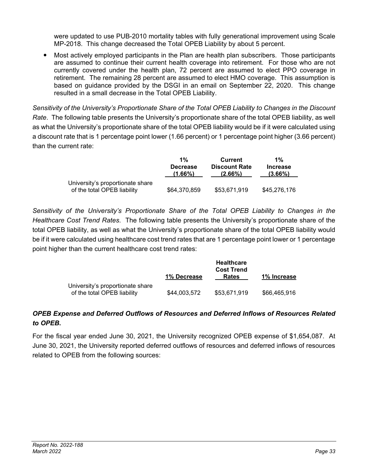were updated to use PUB-2010 mortality tables with fully generational improvement using Scale MP-2018. This change decreased the Total OPEB Liability by about 5 percent.

 Most actively employed participants in the Plan are health plan subscribers. Those participants are assumed to continue their current health coverage into retirement. For those who are not currently covered under the health plan, 72 percent are assumed to elect PPO coverage in retirement. The remaining 28 percent are assumed to elect HMO coverage. This assumption is based on guidance provided by the DSGI in an email on September 22, 2020. This change resulted in a small decrease in the Total OPEB Liability.

*Sensitivity of the University's Proportionate Share of the Total OPEB Liability to Changes in the Discount Rate*. The following table presents the University's proportionate share of the total OPEB liability, as well as what the University's proportionate share of the total OPEB liability would be if it were calculated using a discount rate that is 1 percentage point lower (1.66 percent) or 1 percentage point higher (3.66 percent) than the current rate:

|                                                                 | 1%              | <b>Current</b>       | 1%              |
|-----------------------------------------------------------------|-----------------|----------------------|-----------------|
|                                                                 | <b>Decrease</b> | <b>Discount Rate</b> | <b>Increase</b> |
|                                                                 | $(1.66\%)$      | $(2.66\%)$           | $(3.66\%)$      |
| University's proportionate share<br>of the total OPEB liability | \$64,370,859    | \$53,671,919         | \$45,276,176    |

*Sensitivity of the University's Proportionate Share of the Total OPEB Liability to Changes in the Healthcare Cost Trend Rates*. The following table presents the University's proportionate share of the total OPEB liability, as well as what the University's proportionate share of the total OPEB liability would be if it were calculated using healthcare cost trend rates that are 1 percentage point lower or 1 percentage point higher than the current healthcare cost trend rates:

|                                  | 1% Decrease  | <b>Healthcare</b><br><b>Cost Trend</b><br>Rates | 1% Increase  |
|----------------------------------|--------------|-------------------------------------------------|--------------|
| University's proportionate share |              |                                                 |              |
| of the total OPEB liability      | \$44,003,572 | \$53,671,919                                    | \$66,465,916 |

# *OPEB Expense and Deferred Outflows of Resources and Deferred Inflows of Resources Related to OPEB***.**

For the fiscal year ended June 30, 2021, the University recognized OPEB expense of \$1,654,087. At June 30, 2021, the University reported deferred outflows of resources and deferred inflows of resources related to OPEB from the following sources: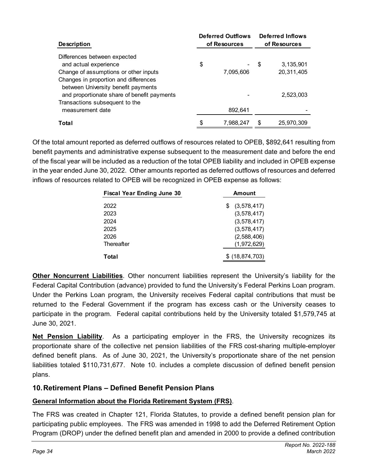| <b>Description</b>                                                           | <b>Deferred Outflows</b><br>of Resources |           | <b>Deferred Inflows</b><br>of Resources |            |
|------------------------------------------------------------------------------|------------------------------------------|-----------|-----------------------------------------|------------|
| Differences between expected                                                 |                                          |           |                                         |            |
| and actual experience                                                        | \$                                       |           | \$                                      | 3,135,901  |
| Change of assumptions or other inputs                                        |                                          | 7,095,606 |                                         | 20,311,405 |
| Changes in proportion and differences<br>between University benefit payments |                                          |           |                                         |            |
| and proportionate share of benefit payments                                  |                                          |           |                                         | 2,523,003  |
| Transactions subsequent to the                                               |                                          |           |                                         |            |
| measurement date                                                             |                                          | 892,641   |                                         |            |
| Total                                                                        | \$                                       | 7,988,247 | \$                                      | 25,970,309 |

Of the total amount reported as deferred outflows of resources related to OPEB, \$892,641 resulting from benefit payments and administrative expense subsequent to the measurement date and before the end of the fiscal year will be included as a reduction of the total OPEB liability and included in OPEB expense in the year ended June 30, 2022. Other amounts reported as deferred outflows of resources and deferred inflows of resources related to OPEB will be recognized in OPEB expense as follows:

| <b>Fiscal Year Ending June 30</b> | Amount            |
|-----------------------------------|-------------------|
| 2022                              | (3,578,417)<br>S  |
| 2023                              | (3,578,417)       |
| 2024                              | (3,578,417)       |
| 2025                              | (3,578,417)       |
| 2026                              | (2,588,406)       |
| Thereafter                        | (1,972,629)       |
| Total                             | \$ (18, 874, 703) |

**Other Noncurrent Liabilities**. Other noncurrent liabilities represent the University's liability for the Federal Capital Contribution (advance) provided to fund the University's Federal Perkins Loan program. Under the Perkins Loan program, the University receives Federal capital contributions that must be returned to the Federal Government if the program has excess cash or the University ceases to participate in the program. Federal capital contributions held by the University totaled \$1,579,745 at June 30, 2021.

**Net Pension Liability**. As a participating employer in the FRS, the University recognizes its proportionate share of the collective net pension liabilities of the FRS cost-sharing multiple-employer defined benefit plans. As of June 30, 2021, the University's proportionate share of the net pension liabilities totaled \$110,731,677. Note 10. includes a complete discussion of defined benefit pension plans.

# **10. Retirement Plans – Defined Benefit Pension Plans**

# **General Information about the Florida Retirement System (FRS)**.

The FRS was created in Chapter 121, Florida Statutes, to provide a defined benefit pension plan for participating public employees. The FRS was amended in 1998 to add the Deferred Retirement Option Program (DROP) under the defined benefit plan and amended in 2000 to provide a defined contribution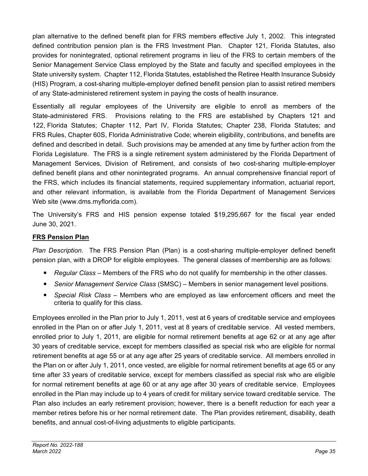plan alternative to the defined benefit plan for FRS members effective July 1, 2002. This integrated defined contribution pension plan is the FRS Investment Plan. Chapter 121, Florida Statutes, also provides for nonintegrated, optional retirement programs in lieu of the FRS to certain members of the Senior Management Service Class employed by the State and faculty and specified employees in the State university system. Chapter 112, Florida Statutes, established the Retiree Health Insurance Subsidy (HIS) Program, a cost-sharing multiple-employer defined benefit pension plan to assist retired members of any State-administered retirement system in paying the costs of health insurance.

Essentially all regular employees of the University are eligible to enroll as members of the State-administered FRS. Provisions relating to the FRS are established by Chapters 121 and 122, Florida Statutes; Chapter 112, Part IV, Florida Statutes; Chapter 238, Florida Statutes; and FRS Rules, Chapter 60S, Florida Administrative Code; wherein eligibility, contributions, and benefits are defined and described in detail. Such provisions may be amended at any time by further action from the Florida Legislature. The FRS is a single retirement system administered by the Florida Department of Management Services, Division of Retirement, and consists of two cost-sharing multiple-employer defined benefit plans and other nonintegrated programs. An annual comprehensive financial report of the FRS, which includes its financial statements, required supplementary information, actuarial report, and other relevant information, is available from the Florida Department of Management Services Web site (www.dms.myflorida.com).

The University's FRS and HIS pension expense totaled \$19,295,667 for the fiscal year ended June 30, 2021.

# **FRS Pension Plan**

*Plan Description*. The FRS Pension Plan (Plan) is a cost-sharing multiple-employer defined benefit pension plan, with a DROP for eligible employees. The general classes of membership are as follows:

- *Regular Class* Members of the FRS who do not qualify for membership in the other classes.
- *Senior Management Service Class* (SMSC) Members in senior management level positions.
- *Special Risk Class* Members who are employed as law enforcement officers and meet the criteria to qualify for this class.

Employees enrolled in the Plan prior to July 1, 2011, vest at 6 years of creditable service and employees enrolled in the Plan on or after July 1, 2011, vest at 8 years of creditable service. All vested members, enrolled prior to July 1, 2011, are eligible for normal retirement benefits at age 62 or at any age after 30 years of creditable service, except for members classified as special risk who are eligible for normal retirement benefits at age 55 or at any age after 25 years of creditable service. All members enrolled in the Plan on or after July 1, 2011, once vested, are eligible for normal retirement benefits at age 65 or any time after 33 years of creditable service, except for members classified as special risk who are eligible for normal retirement benefits at age 60 or at any age after 30 years of creditable service. Employees enrolled in the Plan may include up to 4 years of credit for military service toward creditable service. The Plan also includes an early retirement provision; however, there is a benefit reduction for each year a member retires before his or her normal retirement date. The Plan provides retirement, disability, death benefits, and annual cost-of-living adjustments to eligible participants.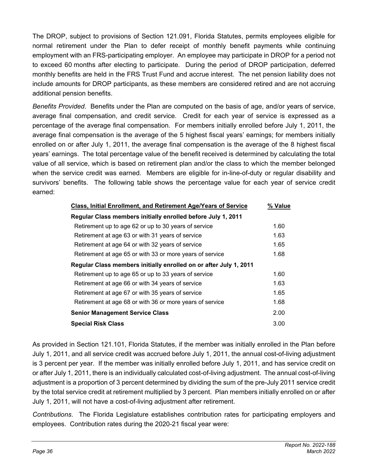The DROP, subject to provisions of Section 121.091, Florida Statutes, permits employees eligible for normal retirement under the Plan to defer receipt of monthly benefit payments while continuing employment with an FRS-participating employer. An employee may participate in DROP for a period not to exceed 60 months after electing to participate. During the period of DROP participation, deferred monthly benefits are held in the FRS Trust Fund and accrue interest. The net pension liability does not include amounts for DROP participants, as these members are considered retired and are not accruing additional pension benefits.

*Benefits Provided*. Benefits under the Plan are computed on the basis of age, and/or years of service, average final compensation, and credit service. Credit for each year of service is expressed as a percentage of the average final compensation. For members initially enrolled before July 1, 2011, the average final compensation is the average of the 5 highest fiscal years' earnings; for members initially enrolled on or after July 1, 2011, the average final compensation is the average of the 8 highest fiscal years' earnings. The total percentage value of the benefit received is determined by calculating the total value of all service, which is based on retirement plan and/or the class to which the member belonged when the service credit was earned. Members are eligible for in-line-of-duty or regular disability and survivors' benefits. The following table shows the percentage value for each year of service credit earned:

| Class, Initial Enrollment, and Retirement Age/Years of Service    | % Value |
|-------------------------------------------------------------------|---------|
| Regular Class members initially enrolled before July 1, 2011      |         |
| Retirement up to age 62 or up to 30 years of service              | 1.60    |
| Retirement at age 63 or with 31 years of service                  | 1.63    |
| Retirement at age 64 or with 32 years of service                  | 1.65    |
| Retirement at age 65 or with 33 or more years of service          | 1.68    |
| Regular Class members initially enrolled on or after July 1, 2011 |         |
| Retirement up to age 65 or up to 33 years of service              | 1.60    |
| Retirement at age 66 or with 34 years of service                  | 1.63    |
| Retirement at age 67 or with 35 years of service                  | 1.65    |
| Retirement at age 68 or with 36 or more years of service          | 1.68    |
| <b>Senior Management Service Class</b>                            | 2.00    |
| <b>Special Risk Class</b>                                         | 3.00    |
|                                                                   |         |

As provided in Section 121.101, Florida Statutes, if the member was initially enrolled in the Plan before July 1, 2011, and all service credit was accrued before July 1, 2011, the annual cost-of-living adjustment is 3 percent per year. If the member was initially enrolled before July 1, 2011, and has service credit on or after July 1, 2011, there is an individually calculated cost-of-living adjustment. The annual cost-of-living adjustment is a proportion of 3 percent determined by dividing the sum of the pre-July 2011 service credit by the total service credit at retirement multiplied by 3 percent. Plan members initially enrolled on or after July 1, 2011, will not have a cost-of-living adjustment after retirement.

*Contributions*. The Florida Legislature establishes contribution rates for participating employers and employees. Contribution rates during the 2020-21 fiscal year were: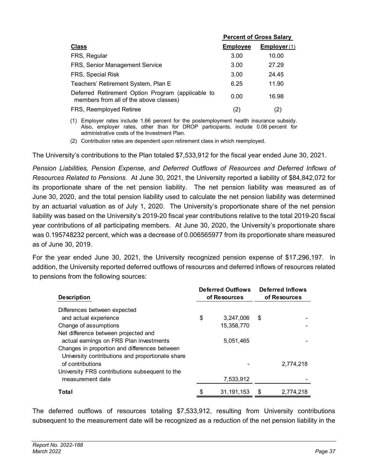|                                                                                             |                 | <b>Percent of Gross Salary</b> |
|---------------------------------------------------------------------------------------------|-----------------|--------------------------------|
| <b>Class</b>                                                                                | <b>Employee</b> | Emplover(1)                    |
| FRS, Regular                                                                                | 3.00            | 10.00                          |
| FRS, Senior Management Service                                                              | 3.00            | 27.29                          |
| FRS, Special Risk                                                                           | 3.00            | 24.45                          |
| Teachers' Retirement System, Plan E                                                         | 6.25            | 11.90                          |
| Deferred Retirement Option Program (applicable to<br>members from all of the above classes) | 0.00            | 16.98                          |
| FRS, Reemployed Retiree                                                                     | (2)             | (2)                            |

(1) Employer rates include 1.66 percent for the postemployment health insurance subsidy. Also, employer rates, other than for DROP participants, include 0.06 percent for administrative costs of the Investment Plan.

(2) Contribution rates are dependent upon retirement class in which reemployed.

The University's contributions to the Plan totaled \$7,533,912 for the fiscal year ended June 30, 2021.

*Pension Liabilities, Pension Expense, and Deferred Outflows of Resources and Deferred Inflows of Resources Related to Pensions*. At June 30, 2021, the University reported a liability of \$84,842,072 for its proportionate share of the net pension liability. The net pension liability was measured as of June 30, 2020, and the total pension liability used to calculate the net pension liability was determined by an actuarial valuation as of July 1, 2020. The University's proportionate share of the net pension liability was based on the University's 2019-20 fiscal year contributions relative to the total 2019-20 fiscal year contributions of all participating members. At June 30, 2020, the University's proportionate share was 0.195748232 percent, which was a decrease of 0.006565977 from its proportionate share measured as of June 30, 2019.

For the year ended June 30, 2021, the University recognized pension expense of \$17,296,197. In addition, the University reported deferred outflows of resources and deferred inflows of resources related to pensions from the following sources:

| <b>Description</b>                               | <b>Deferred Outflows</b><br>of Resources |    | Deferred Inflows<br>of Resources |
|--------------------------------------------------|------------------------------------------|----|----------------------------------|
| Differences between expected                     |                                          |    |                                  |
| and actual experience                            | \$<br>3.247.006                          | S  |                                  |
| Change of assumptions                            | 15,358,770                               |    |                                  |
| Net difference between projected and             |                                          |    |                                  |
| actual earnings on FRS Plan investments          | 5,051,465                                |    |                                  |
| Changes in proportion and differences between    |                                          |    |                                  |
| University contributions and proportionate share |                                          |    |                                  |
| of contributions                                 |                                          |    | 2,774,218                        |
| University FRS contributions subsequent to the   |                                          |    |                                  |
| measurement date                                 | 7,533,912                                |    |                                  |
| Total                                            | \$<br>31, 191, 153                       | \$ | 2.774.218                        |

The deferred outflows of resources totaling \$7,533,912, resulting from University contributions subsequent to the measurement date will be recognized as a reduction of the net pension liability in the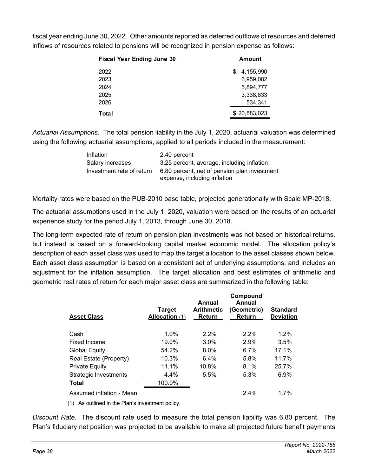| fiscal year ending June 30, 2022. Other amounts reported as deferred outflows of resources and deferred |
|---------------------------------------------------------------------------------------------------------|
| inflows of resources related to pensions will be recognized in pension expense as follows:              |

| <b>Fiscal Year Ending June 30</b> | Amount           |  |
|-----------------------------------|------------------|--|
| 2022                              | 4, 155, 990<br>S |  |
| 2023                              | 6,959,082        |  |
| 2024                              | 5,894,777        |  |
| 2025                              | 3,338,833        |  |
| 2026                              | 534,341          |  |
| Total                             | \$20,883,023     |  |

*Actuarial Assumptions*. The total pension liability in the July 1, 2020, actuarial valuation was determined using the following actuarial assumptions, applied to all periods included in the measurement:

| Inflation                 | 2.40 percent                                                                 |
|---------------------------|------------------------------------------------------------------------------|
| Salary increases          | 3.25 percent, average, including inflation                                   |
| Investment rate of return | 6.80 percent, net of pension plan investment<br>expense, including inflation |

Mortality rates were based on the PUB-2010 base table, projected generationally with Scale MP-2018.

The actuarial assumptions used in the July 1, 2020, valuation were based on the results of an actuarial experience study for the period July 1, 2013, through June 30, 2018.

The long-term expected rate of return on pension plan investments was not based on historical returns, but instead is based on a forward-looking capital market economic model. The allocation policy's description of each asset class was used to map the target allocation to the asset classes shown below. Each asset class assumption is based on a consistent set of underlying assumptions, and includes an adjustment for the inflation assumption. The target allocation and best estimates of arithmetic and geometric real rates of return for each major asset class are summarized in the following table:

| <b>Asset Class</b>           | <b>Target</b><br>Allocation (1) | Annual<br><b>Arithmetic</b><br>Return | Compound<br>Annual<br>(Geometric)<br>Return | <b>Standard</b><br><b>Deviation</b> |
|------------------------------|---------------------------------|---------------------------------------|---------------------------------------------|-------------------------------------|
| Cash                         | 1.0%                            | 2.2%                                  | 2.2%                                        | 1.2%                                |
| Fixed Income                 | 19.0%                           | 3.0%                                  | 2.9%                                        | 3.5%                                |
| Global Equity                | 54.2%                           | 8.0%                                  | 6.7%                                        | 17.1%                               |
| Real Estate (Property)       | 10.3%                           | 6.4%                                  | 5.8%                                        | 11.7%                               |
| <b>Private Equity</b>        | 11.1%                           | 10.8%                                 | 8.1%                                        | 25.7%                               |
| <b>Strategic Investments</b> | 4.4%                            | 5.5%                                  | 5.3%                                        | 6.9%                                |
| Total                        | 100.0%                          |                                       |                                             |                                     |
| Assumed inflation - Mean     |                                 |                                       | 2.4%                                        | 1.7%                                |
|                              |                                 |                                       |                                             |                                     |

(1) As outlined in the Plan's investment policy.

*Discount Rate*. The discount rate used to measure the total pension liability was 6.80 percent. The Plan's fiduciary net position was projected to be available to make all projected future benefit payments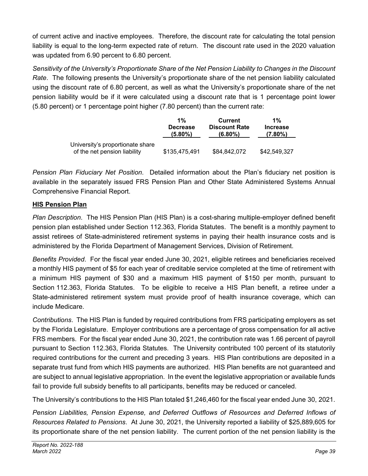of current active and inactive employees. Therefore, the discount rate for calculating the total pension liability is equal to the long-term expected rate of return. The discount rate used in the 2020 valuation was updated from 6.90 percent to 6.80 percent.

*Sensitivity of the University's Proportionate Share of the Net Pension Liability to Changes in the Discount Rate*. The following presents the University's proportionate share of the net pension liability calculated using the discount rate of 6.80 percent, as well as what the University's proportionate share of the net pension liability would be if it were calculated using a discount rate that is 1 percentage point lower (5.80 percent) or 1 percentage point higher (7.80 percent) than the current rate:

|                                                                  | 1%              | Current              | $1\%$           |
|------------------------------------------------------------------|-----------------|----------------------|-----------------|
|                                                                  | <b>Decrease</b> | <b>Discount Rate</b> | <b>Increase</b> |
|                                                                  | $(5.80\%)$      | $(6.80\%)$           | $(7.80\%)$      |
| University's proportionate share<br>of the net pension liability | \$135,475,491   | \$84,842,072         | \$42,549,327    |

*Pension Plan Fiduciary Net Position*. Detailed information about the Plan's fiduciary net position is available in the separately issued FRS Pension Plan and Other State Administered Systems Annual Comprehensive Financial Report.

# **HIS Pension Plan**

*Plan Description*. The HIS Pension Plan (HIS Plan) is a cost-sharing multiple-employer defined benefit pension plan established under Section 112.363, Florida Statutes. The benefit is a monthly payment to assist retirees of State-administered retirement systems in paying their health insurance costs and is administered by the Florida Department of Management Services, Division of Retirement.

*Benefits Provided*. For the fiscal year ended June 30, 2021, eligible retirees and beneficiaries received a monthly HIS payment of \$5 for each year of creditable service completed at the time of retirement with a minimum HIS payment of \$30 and a maximum HIS payment of \$150 per month, pursuant to Section 112.363, Florida Statutes. To be eligible to receive a HIS Plan benefit, a retiree under a State-administered retirement system must provide proof of health insurance coverage, which can include Medicare.

*Contributions*. The HIS Plan is funded by required contributions from FRS participating employers as set by the Florida Legislature. Employer contributions are a percentage of gross compensation for all active FRS members. For the fiscal year ended June 30, 2021, the contribution rate was 1.66 percent of payroll pursuant to Section 112.363, Florida Statutes. The University contributed 100 percent of its statutorily required contributions for the current and preceding 3 years. HIS Plan contributions are deposited in a separate trust fund from which HIS payments are authorized. HIS Plan benefits are not guaranteed and are subject to annual legislative appropriation. In the event the legislative appropriation or available funds fail to provide full subsidy benefits to all participants, benefits may be reduced or canceled.

The University's contributions to the HIS Plan totaled \$1,246,460 for the fiscal year ended June 30, 2021.

*Pension Liabilities, Pension Expense, and Deferred Outflows of Resources and Deferred Inflows of Resources Related to Pensions*. At June 30, 2021, the University reported a liability of \$25,889,605 for its proportionate share of the net pension liability. The current portion of the net pension liability is the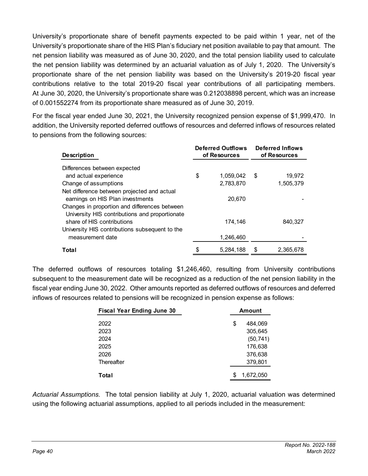University's proportionate share of benefit payments expected to be paid within 1 year, net of the University's proportionate share of the HIS Plan's fiduciary net position available to pay that amount. The net pension liability was measured as of June 30, 2020, and the total pension liability used to calculate the net pension liability was determined by an actuarial valuation as of July 1, 2020. The University's proportionate share of the net pension liability was based on the University's 2019-20 fiscal year contributions relative to the total 2019-20 fiscal year contributions of all participating members. At June 30, 2020, the University's proportionate share was 0.212038898 percent, which was an increase of 0.001552274 from its proportionate share measured as of June 30, 2019.

For the fiscal year ended June 30, 2021, the University recognized pension expense of \$1,999,470. In addition, the University reported deferred outflows of resources and deferred inflows of resources related to pensions from the following sources:

| <b>Description</b>                                                                              |    | <b>Deferred Outflows</b><br>of Resources | Deferred Inflows<br>of Resources |           |  |
|-------------------------------------------------------------------------------------------------|----|------------------------------------------|----------------------------------|-----------|--|
| Differences between expected                                                                    |    |                                          |                                  |           |  |
| and actual experience                                                                           | \$ | 1,059,042                                | \$                               | 19,972    |  |
| Change of assumptions                                                                           |    | 2,783,870                                |                                  | 1,505,379 |  |
| Net difference between projected and actual<br>earnings on HIS Plan investments                 |    | 20.670                                   |                                  |           |  |
| Changes in proportion and differences between<br>University HIS contributions and proportionate |    |                                          |                                  |           |  |
| share of HIS contributions                                                                      |    | 174.146                                  |                                  | 840.327   |  |
| University HIS contributions subsequent to the<br>measurement date                              |    | 1,246,460                                |                                  |           |  |
| Total                                                                                           | \$ | 5,284,188                                |                                  | 2,365,678 |  |

The deferred outflows of resources totaling \$1,246,460, resulting from University contributions subsequent to the measurement date will be recognized as a reduction of the net pension liability in the fiscal year ending June 30, 2022. Other amounts reported as deferred outflows of resources and deferred inflows of resources related to pensions will be recognized in pension expense as follows:

| <b>Fiscal Year Ending June 30</b> |    | <b>Amount</b> |  |  |
|-----------------------------------|----|---------------|--|--|
| 2022                              | \$ | 484,069       |  |  |
| 2023                              |    | 305,645       |  |  |
| 2024                              |    | (50, 741)     |  |  |
| 2025                              |    | 176,638       |  |  |
| 2026                              |    | 376,638       |  |  |
| Thereafter                        |    | 379,801       |  |  |
| Total                             |    | 1,672,050     |  |  |

*Actuarial Assumptions.* The total pension liability at July 1, 2020, actuarial valuation was determined using the following actuarial assumptions, applied to all periods included in the measurement: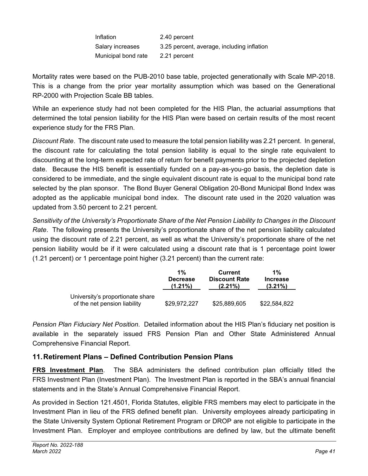| Inflation           | 2.40 percent                               |
|---------------------|--------------------------------------------|
| Salary increases    | 3.25 percent, average, including inflation |
| Municipal bond rate | 2.21 percent                               |

Mortality rates were based on the PUB-2010 base table, projected generationally with Scale MP-2018. This is a change from the prior year mortality assumption which was based on the Generational RP-2000 with Projection Scale BB tables.

While an experience study had not been completed for the HIS Plan, the actuarial assumptions that determined the total pension liability for the HIS Plan were based on certain results of the most recent experience study for the FRS Plan.

*Discount Rate*. The discount rate used to measure the total pension liability was 2.21 percent. In general, the discount rate for calculating the total pension liability is equal to the single rate equivalent to discounting at the long-term expected rate of return for benefit payments prior to the projected depletion date. Because the HIS benefit is essentially funded on a pay-as-you-go basis, the depletion date is considered to be immediate, and the single equivalent discount rate is equal to the municipal bond rate selected by the plan sponsor. The Bond Buyer General Obligation 20-Bond Municipal Bond Index was adopted as the applicable municipal bond index. The discount rate used in the 2020 valuation was updated from 3.50 percent to 2.21 percent.

*Sensitivity of the University's Proportionate Share of the Net Pension Liability to Changes in the Discount Rate*. The following presents the University's proportionate share of the net pension liability calculated using the discount rate of 2.21 percent, as well as what the University's proportionate share of the net pension liability would be if it were calculated using a discount rate that is 1 percentage point lower (1.21 percent) or 1 percentage point higher (3.21 percent) than the current rate:

|                                                                  | 1%                            | <b>Current</b>                     | $1\%$                         |
|------------------------------------------------------------------|-------------------------------|------------------------------------|-------------------------------|
|                                                                  | <b>Decrease</b><br>$(1.21\%)$ | <b>Discount Rate</b><br>$(2.21\%)$ | <b>Increase</b><br>$(3.21\%)$ |
| University's proportionate share<br>of the net pension liability | \$29,972,227                  | \$25,889,605                       | \$22,584,822                  |

*Pension Plan Fiduciary Net Position*. Detailed information about the HIS Plan's fiduciary net position is available in the separately issued FRS Pension Plan and Other State Administered Annual Comprehensive Financial Report.

# **11. Retirement Plans – Defined Contribution Pension Plans**

**FRS Investment Plan**. The SBA administers the defined contribution plan officially titled the FRS Investment Plan (Investment Plan). The Investment Plan is reported in the SBA's annual financial statements and in the State's Annual Comprehensive Financial Report.

As provided in Section 121.4501, Florida Statutes, eligible FRS members may elect to participate in the Investment Plan in lieu of the FRS defined benefit plan. University employees already participating in the State University System Optional Retirement Program or DROP are not eligible to participate in the Investment Plan. Employer and employee contributions are defined by law, but the ultimate benefit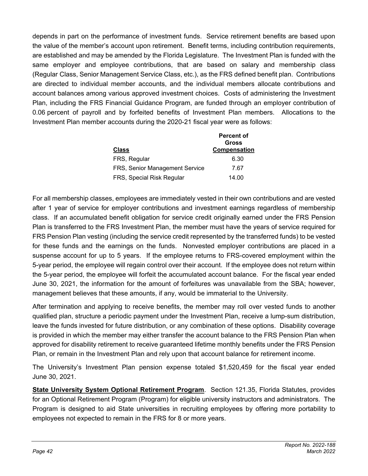depends in part on the performance of investment funds. Service retirement benefits are based upon the value of the member's account upon retirement. Benefit terms, including contribution requirements, are established and may be amended by the Florida Legislature. The Investment Plan is funded with the same employer and employee contributions, that are based on salary and membership class (Regular Class, Senior Management Service Class, etc.), as the FRS defined benefit plan. Contributions are directed to individual member accounts, and the individual members allocate contributions and account balances among various approved investment choices. Costs of administering the Investment Plan, including the FRS Financial Guidance Program, are funded through an employer contribution of 0.06 percent of payroll and by forfeited benefits of Investment Plan members. Allocations to the Investment Plan member accounts during the 2020-21 fiscal year were as follows:

|                                | <b>Percent of</b>     |
|--------------------------------|-----------------------|
| <b>Class</b>                   | Gross<br>Compensation |
|                                |                       |
| FRS, Regular                   | 6.30                  |
| FRS, Senior Management Service | 7.67                  |
| FRS, Special Risk Regular      | 14.00                 |

For all membership classes, employees are immediately vested in their own contributions and are vested after 1 year of service for employer contributions and investment earnings regardless of membership class. If an accumulated benefit obligation for service credit originally earned under the FRS Pension Plan is transferred to the FRS Investment Plan, the member must have the years of service required for FRS Pension Plan vesting (including the service credit represented by the transferred funds) to be vested for these funds and the earnings on the funds. Nonvested employer contributions are placed in a suspense account for up to 5 years. If the employee returns to FRS-covered employment within the 5-year period, the employee will regain control over their account. If the employee does not return within the 5-year period, the employee will forfeit the accumulated account balance. For the fiscal year ended June 30, 2021, the information for the amount of forfeitures was unavailable from the SBA; however, management believes that these amounts, if any, would be immaterial to the University.

After termination and applying to receive benefits, the member may roll over vested funds to another qualified plan, structure a periodic payment under the Investment Plan, receive a lump-sum distribution, leave the funds invested for future distribution, or any combination of these options. Disability coverage is provided in which the member may either transfer the account balance to the FRS Pension Plan when approved for disability retirement to receive guaranteed lifetime monthly benefits under the FRS Pension Plan, or remain in the Investment Plan and rely upon that account balance for retirement income.

The University's Investment Plan pension expense totaled \$1,520,459 for the fiscal year ended June 30, 2021.

**State University System Optional Retirement Program.** Section 121.35, Florida Statutes, provides for an Optional Retirement Program (Program) for eligible university instructors and administrators. The Program is designed to aid State universities in recruiting employees by offering more portability to employees not expected to remain in the FRS for 8 or more years.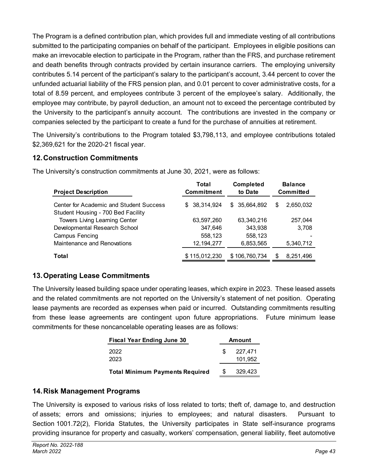The Program is a defined contribution plan, which provides full and immediate vesting of all contributions submitted to the participating companies on behalf of the participant. Employees in eligible positions can make an irrevocable election to participate in the Program, rather than the FRS, and purchase retirement and death benefits through contracts provided by certain insurance carriers. The employing university contributes 5.14 percent of the participant's salary to the participant's account, 3.44 percent to cover the unfunded actuarial liability of the FRS pension plan, and 0.01 percent to cover administrative costs, for a total of 8.59 percent, and employees contribute 3 percent of the employee's salary. Additionally, the employee may contribute, by payroll deduction, an amount not to exceed the percentage contributed by the University to the participant's annuity account. The contributions are invested in the company or companies selected by the participant to create a fund for the purchase of annuities at retirement.

The University's contributions to the Program totaled \$3,798,113, and employee contributions totaled \$2,369,621 for the 2020-21 fiscal year.

# **12. Construction Commitments**

| <b>Project Description</b>                                                           | Total<br>Commitment | <b>Completed</b><br>to Date |     | <b>Balance</b><br>Committed |
|--------------------------------------------------------------------------------------|---------------------|-----------------------------|-----|-----------------------------|
| <b>Center for Academic and Student Success</b><br>Student Housing - 700 Bed Facility | \$38,314,924        | \$35,664,892                | S   | 2,650,032                   |
| <b>Towers Living Learning Center</b>                                                 | 63,597,260          | 63,340,216                  |     | 257,044                     |
| Developmental Research School                                                        | 347,646             | 343,938                     |     | 3,708                       |
| <b>Campus Fencing</b>                                                                | 558,123             | 558,123                     |     |                             |
| Maintenance and Renovations                                                          | 12, 194, 277        | 6,853,565                   |     | 5,340,712                   |
| Total                                                                                | \$115,012,230       | \$106,760,734               | \$. | 8,251,496                   |

The University's construction commitments at June 30, 2021, were as follows:

# **13. Operating Lease Commitments**

The University leased building space under operating leases, which expire in 2023. These leased assets and the related commitments are not reported on the University's statement of net position. Operating lease payments are recorded as expenses when paid or incurred. Outstanding commitments resulting from these lease agreements are contingent upon future appropriations. Future minimum lease commitments for these noncancelable operating leases are as follows:

| <b>Fiscal Year Ending June 30</b>      |     | <b>Amount</b>      |  |  |  |
|----------------------------------------|-----|--------------------|--|--|--|
| 2022<br>2023                           | \$. | 227.471<br>101.952 |  |  |  |
| <b>Total Minimum Payments Required</b> | S   | 329.423            |  |  |  |

# **14. Risk Management Programs**

The University is exposed to various risks of loss related to torts; theft of, damage to, and destruction of assets; errors and omissions; injuries to employees; and natural disasters. Pursuant to Section 1001.72(2), Florida Statutes, the University participates in State self-insurance programs providing insurance for property and casualty, workers' compensation, general liability, fleet automotive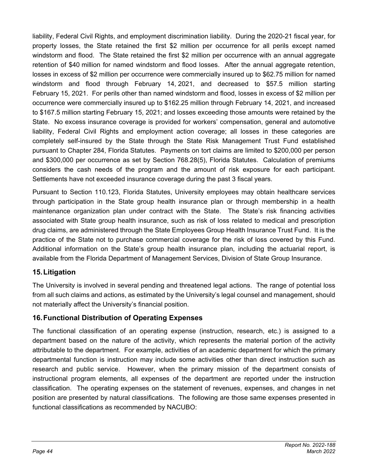liability, Federal Civil Rights, and employment discrimination liability. During the 2020-21 fiscal year, for property losses, the State retained the first \$2 million per occurrence for all perils except named windstorm and flood. The State retained the first \$2 million per occurrence with an annual aggregate retention of \$40 million for named windstorm and flood losses. After the annual aggregate retention, losses in excess of \$2 million per occurrence were commercially insured up to \$62.75 million for named windstorm and flood through February 14, 2021, and decreased to \$57.5 million starting February 15, 2021. For perils other than named windstorm and flood, losses in excess of \$2 million per occurrence were commercially insured up to \$162.25 million through February 14, 2021, and increased to \$167.5 million starting February 15, 2021; and losses exceeding those amounts were retained by the State. No excess insurance coverage is provided for workers' compensation, general and automotive liability, Federal Civil Rights and employment action coverage; all losses in these categories are completely self-insured by the State through the State Risk Management Trust Fund established pursuant to Chapter 284, Florida Statutes. Payments on tort claims are limited to \$200,000 per person and \$300,000 per occurrence as set by Section 768.28(5), Florida Statutes. Calculation of premiums considers the cash needs of the program and the amount of risk exposure for each participant. Settlements have not exceeded insurance coverage during the past 3 fiscal years.

Pursuant to Section 110.123, Florida Statutes, University employees may obtain healthcare services through participation in the State group health insurance plan or through membership in a health maintenance organization plan under contract with the State. The State's risk financing activities associated with State group health insurance, such as risk of loss related to medical and prescription drug claims, are administered through the State Employees Group Health Insurance Trust Fund. It is the practice of the State not to purchase commercial coverage for the risk of loss covered by this Fund. Additional information on the State's group health insurance plan, including the actuarial report, is available from the Florida Department of Management Services, Division of State Group Insurance.

# **15. Litigation**

The University is involved in several pending and threatened legal actions. The range of potential loss from all such claims and actions, as estimated by the University's legal counsel and management, should not materially affect the University's financial position.

# **16. Functional Distribution of Operating Expenses**

The functional classification of an operating expense (instruction, research, etc.) is assigned to a department based on the nature of the activity, which represents the material portion of the activity attributable to the department. For example, activities of an academic department for which the primary departmental function is instruction may include some activities other than direct instruction such as research and public service. However, when the primary mission of the department consists of instructional program elements, all expenses of the department are reported under the instruction classification. The operating expenses on the statement of revenues, expenses, and changes in net position are presented by natural classifications. The following are those same expenses presented in functional classifications as recommended by NACUBO: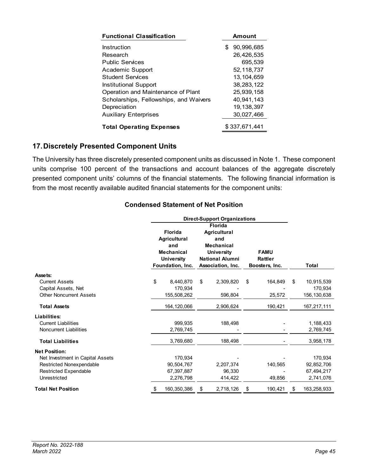| <b>Functional Classification</b>       | Amount           |
|----------------------------------------|------------------|
| Instruction                            | \$<br>90.996.685 |
| Research                               | 26.426.535       |
| <b>Public Services</b>                 | 695.539          |
| Academic Support                       | 52,118,737       |
| <b>Student Services</b>                | 13.104.659       |
| Institutional Support                  | 38,283,122       |
| Operation and Maintenance of Plant     | 25.939.158       |
| Scholarships, Fellowships, and Waivers | 40.941.143       |
| Depreciation                           | 19, 138, 397     |
| <b>Auxiliary Enterprises</b>           | 30.027.466       |
| <b>Total Operating Expenses</b>        | \$337.671.441    |

# **17. Discretely Presented Component Units**

The University has three discretely presented component units as discussed in Note 1. These component units comprise 100 percent of the transactions and account balances of the aggregate discretely presented component units' columns of the financial statements. The following financial information is from the most recently available audited financial statements for the component units:

|                                  | <b>Direct-Support Organizations</b>                                                                 |             |                                                                                                                         |           |                                          |         |                  |
|----------------------------------|-----------------------------------------------------------------------------------------------------|-------------|-------------------------------------------------------------------------------------------------------------------------|-----------|------------------------------------------|---------|------------------|
|                                  | <b>Florida</b><br>Agricultural<br>and<br><b>Mechanical</b><br><b>University</b><br>Foundation, Inc. |             | Florida<br>Agricultural<br>and<br><b>Mechanical</b><br><b>University</b><br><b>National Alumni</b><br>Association, Inc. |           | <b>FAMU</b><br>Rattler<br>Boosters, Inc. |         | Total            |
| Assets:                          |                                                                                                     |             |                                                                                                                         |           |                                          |         |                  |
| <b>Current Assets</b>            | \$                                                                                                  | 8,440,870   | \$                                                                                                                      | 2,309,820 | \$                                       | 164,849 | \$<br>10,915,539 |
| Capital Assets, Net              |                                                                                                     | 170.934     |                                                                                                                         |           |                                          |         | 170,934          |
| <b>Other Noncurrent Assets</b>   |                                                                                                     | 155,508,262 |                                                                                                                         | 596,804   |                                          | 25,572  | 156, 130, 638    |
| <b>Total Assets</b>              |                                                                                                     | 164,120,066 |                                                                                                                         | 2,906,624 |                                          | 190,421 | 167,217,111      |
| Liabilities:                     |                                                                                                     |             |                                                                                                                         |           |                                          |         |                  |
| <b>Current Liabilities</b>       |                                                                                                     | 999,935     |                                                                                                                         | 188,498   |                                          |         | 1,188,433        |
| Noncurrent Liabilities           |                                                                                                     | 2,769,745   |                                                                                                                         |           |                                          |         | 2,769,745        |
| <b>Total Liabilities</b>         |                                                                                                     | 3,769,680   |                                                                                                                         | 188,498   |                                          |         | 3,958,178        |
| <b>Net Position:</b>             |                                                                                                     |             |                                                                                                                         |           |                                          |         |                  |
| Net Investment in Capital Assets |                                                                                                     | 170,934     |                                                                                                                         |           |                                          |         | 170,934          |
| Restricted Nonexpendable         |                                                                                                     | 90,504,767  |                                                                                                                         | 2,207,374 |                                          | 140,565 | 92,852,706       |
| <b>Restricted Expendable</b>     |                                                                                                     | 67,397,887  |                                                                                                                         | 96,330    |                                          |         | 67,494,217       |
| Unrestricted                     |                                                                                                     | 2,276,798   |                                                                                                                         | 414,422   |                                          | 49,856  | 2,741,076        |
| <b>Total Net Position</b>        | \$                                                                                                  | 160,350,386 | \$                                                                                                                      | 2,718,126 | \$                                       | 190,421 | 163,258,933      |

# **Condensed Statement of Net Position**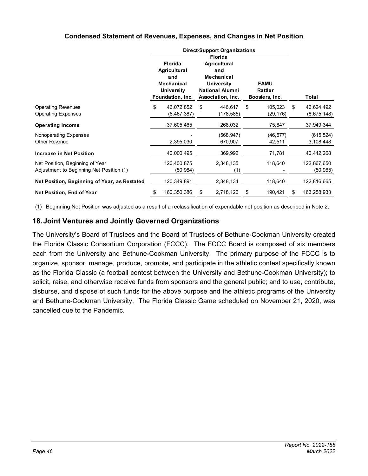# **Condensed Statement of Revenues, Expenses, and Changes in Net Position**

|                                                                             | <b>Direct-Support Organizations</b> |                                                                                                     |    |                                                                                                                                |    |                                          |    |                           |
|-----------------------------------------------------------------------------|-------------------------------------|-----------------------------------------------------------------------------------------------------|----|--------------------------------------------------------------------------------------------------------------------------------|----|------------------------------------------|----|---------------------------|
|                                                                             |                                     | <b>Florida</b><br>Agricultural<br>and<br><b>Mechanical</b><br><b>University</b><br>Foundation, Inc. |    | <b>Florida</b><br>Agricultural<br>and<br><b>Mechanical</b><br><b>University</b><br><b>National Alumni</b><br>Association, Inc. |    | <b>FAMU</b><br>Rattler<br>Boosters, Inc. |    | Total                     |
| <b>Operating Revenues</b><br><b>Operating Expenses</b>                      | \$                                  | 46,072,852<br>(8, 467, 387)                                                                         | \$ | 446,617<br>(178, 585)                                                                                                          | S  | 105,023<br>(29, 176)                     | \$ | 46,624,492<br>(8,675,148) |
| <b>Operating Income</b>                                                     |                                     | 37,605,465                                                                                          |    | 268,032                                                                                                                        |    | 75,847                                   |    | 37,949,344                |
| Nonoperating Expenses<br><b>Other Revenue</b>                               |                                     | 2,395,030                                                                                           |    | (568, 947)<br>670,907                                                                                                          |    | (46, 577)<br>42,511                      |    | (615, 524)<br>3,108,448   |
| Increase in Net Position                                                    |                                     | 40,000,495                                                                                          |    | 369,992                                                                                                                        |    | 71,781                                   |    | 40,442,268                |
| Net Position, Beginning of Year<br>Adjustment to Beginning Net Position (1) |                                     | 120,400,875<br>(50, 984)                                                                            |    | 2,348,135<br>(1)                                                                                                               |    | 118,640                                  |    | 122,867,650<br>(50, 985)  |
| Net Position, Beginning of Year, as Restated                                |                                     | 120,349,891                                                                                         |    | 2,348,134                                                                                                                      |    | 118,640                                  |    | 122,816,665               |
| Net Position, End of Year                                                   | \$                                  | 160,350,386                                                                                         | \$ | 2,718,126                                                                                                                      | \$ | 190,421                                  | \$ | 163,258,933               |

(1) Beginning Net Position was adjusted as a result of a reclassification of expendable net position as described in Note 2.

# **18. Joint Ventures and Jointly Governed Organizations**

The University's Board of Trustees and the Board of Trustees of Bethune-Cookman University created the Florida Classic Consortium Corporation (FCCC). The FCCC Board is composed of six members each from the University and Bethune-Cookman University. The primary purpose of the FCCC is to organize, sponsor, manage, produce, promote, and participate in the athletic contest specifically known as the Florida Classic (a football contest between the University and Bethune-Cookman University); to solicit, raise, and otherwise receive funds from sponsors and the general public; and to use, contribute, disburse, and dispose of such funds for the above purpose and the athletic programs of the University and Bethune-Cookman University. The Florida Classic Game scheduled on November 21, 2020, was cancelled due to the Pandemic.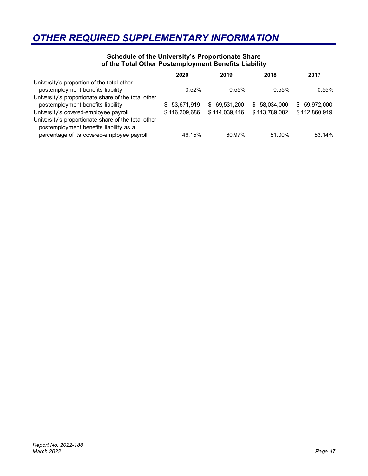# <span id="page-50-0"></span>*OTHER REQUIRED SUPPLEMENTARY INFORMATION*

# **Schedule of the University's Proportionate Share of the Total Other Postemployment Benefits Liability**

|                                                                                               | 2020          | 2019          | 2018          | 2017          |
|-----------------------------------------------------------------------------------------------|---------------|---------------|---------------|---------------|
| University's proportion of the total other                                                    |               |               |               |               |
| postemployment benefits liability                                                             | $0.52\%$      | 0.55%         | $0.55\%$      | $0.55\%$      |
| University's proportionate share of the total other                                           |               |               |               |               |
| postemployment benefits liability                                                             | \$53,671,919  | \$69,531,200  | \$ 58,034,000 | \$59,972,000  |
| University's covered-employee payroll                                                         | \$116,309,686 | \$114,039,416 | \$113,789,082 | \$112,860,919 |
| University's proportionate share of the total other<br>postemployment benefits liability as a |               |               |               |               |
| percentage of its covered-employee payroll                                                    | 46.15%        | 60.97%        | 51.00%        | 53.14%        |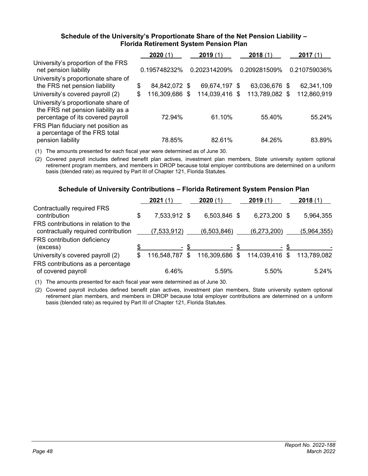# **Schedule of the University's Proportionate Share of the Net Pension Liability – Florida Retirement System Pension Plan**

<span id="page-51-0"></span>

|                                                                                                                | 2020 (1)             | 2019 (1)       | 2018(1)        | 2017         |
|----------------------------------------------------------------------------------------------------------------|----------------------|----------------|----------------|--------------|
| University's proportion of the FRS<br>net pension liability<br>University's proportionate share of             | 0.195748232%         | 0.202314209%   | 0.209281509%   | 0.210759036% |
| the FRS net pension liability                                                                                  | \$<br>84,842,072 \$  | 69,674,197 \$  | 63,036,676 \$  | 62,341,109   |
| University's covered payroll (2)                                                                               | \$<br>116,309,686 \$ | 114,039,416 \$ | 113,789,082 \$ | 112,860,919  |
| University's proportionate share of<br>the FRS net pension liability as a<br>percentage of its covered payroll | 72.94%               | 61.10%         | 55.40%         | 55.24%       |
| FRS Plan fiduciary net position as<br>a percentage of the FRS total<br>pension liability                       | 78.85%               | 82.61%         | 84.26%         | 83.89%       |

(1) The amounts presented for each fiscal year were determined as of June 30.

(2) Covered payroll includes defined benefit plan actives, investment plan members, State university system optional retirement program members, and members in DROP because total employer contributions are determined on a uniform basis (blended rate) as required by Part III of Chapter 121, Florida Statutes.

### **Schedule of University Contributions – Florida Retirement System Pension Plan**

|                                                                             | 2021(1)              | 2020(1)                  | 2019(1)      | 2018(1)           |
|-----------------------------------------------------------------------------|----------------------|--------------------------|--------------|-------------------|
| <b>Contractually required FRS</b><br>contribution                           | \$<br>7,533,912 \$   | 6,503,846 \$             | 6,273,200 \$ | 5,964,355         |
| FRS contributions in relation to the<br>contractually required contribution | (7,533,912)          | (6,503,846)              | (6,273,200)  | (5,964,355)       |
| FRS contribution deficiency<br>(excess)                                     |                      | $\overline{\phantom{0}}$ |              |                   |
| University's covered payroll (2)<br>FRS contributions as a percentage       | \$<br>116,548,787 \$ | 116,309,686 \$           | 114,039,416  | \$<br>113,789,082 |
| of covered payroll                                                          | 6.46%                | 5.59%                    | 5.50%        | 5.24%             |

(1) The amounts presented for each fiscal year were determined as of June 30.

(2) Covered payroll includes defined benefit plan actives, investment plan members, State university system optional retirement plan members, and members in DROP because total employer contributions are determined on a uniform basis (blended rate) as required by Part III of Chapter 121, Florida Statutes.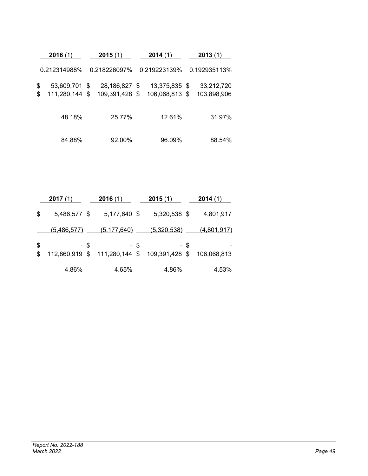|          | 2016(1)                      |      | 2015(1)                         | 2014(1) |                                 |  | 2013(1)                   |  |  |  |  |
|----------|------------------------------|------|---------------------------------|---------|---------------------------------|--|---------------------------|--|--|--|--|
|          | 0.212314988%                 |      | 0.218226097%                    |         | 0.219223139%                    |  | 0.192935113%              |  |  |  |  |
| \$<br>\$ | 53,609,701<br>111,280,144 \$ | - \$ | 28,186,827 \$<br>109,391,428 \$ |         | 13,375,835 \$<br>106,068,813 \$ |  | 33,212,720<br>103,898,906 |  |  |  |  |
|          | 48.18%                       |      | 25.77%                          |         | 12.61%                          |  | 31.97%                    |  |  |  |  |
|          | 84.88%                       |      | 92.00%                          |         | 96.09%                          |  | 88.54%                    |  |  |  |  |

| 2017(1)              | 2016(1)                       | 2015(1)      | 2014(1)     |
|----------------------|-------------------------------|--------------|-------------|
| \$<br>5,486,577 \$   | 5,177,640 \$                  | 5,320,538 \$ | 4,801,917   |
| (5,486,577)          | (5, 177, 640)                 | (5,320,538)  | (4,801,917) |
| \$<br>112,860,919 \$ | 111,280,144 \$ 109,391,428 \$ |              | 106,068,813 |
| 4.86%                | 4.65%                         | 4.86%        | 4.53%       |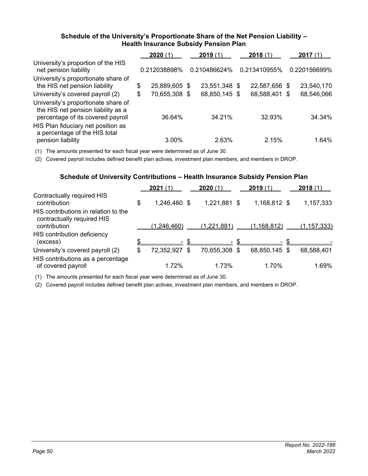# **Schedule of the University's Proportionate Share of the Net Pension Liability – Health Insurance Subsidy Pension Plan**

<span id="page-53-0"></span>

|                                                                                                                | <b>2020</b> (1)     | 2019(1)       | 2018(1)       |      | 2017         |
|----------------------------------------------------------------------------------------------------------------|---------------------|---------------|---------------|------|--------------|
| University's proportion of the HIS<br>net pension liability<br>University's proportionate share of             | 0.212038898%        | 0.210486624%  | 0.213410955%  |      | 0.220156699% |
| the HIS net pension liability                                                                                  | \$<br>25,889,605 \$ | 23,551,348 \$ | 22,587,656    | - \$ | 23,540,170   |
| University's covered payroll (2)                                                                               | \$<br>70,655,308 \$ | 68,850,145 \$ | 68,588,401 \$ |      | 68,546,066   |
| University's proportionate share of<br>the HIS net pension liability as a<br>percentage of its covered payroll | 36.64%              | 34.21%        | 32.93%        |      | 34.34%       |
| HIS Plan fiduciary net position as<br>a percentage of the HIS total<br>pension liability                       | $3.00\%$            | 2.63%         | 2.15%         |      | 1.64%        |

(1) The amounts presented for each fiscal year were determined as of June 30.

(2) Covered payroll includes defined benefit plan actives, investment plan members, and members in DROP.

# **Schedule of University Contributions – Health Insurance Subsidy Pension Plan**

|                                                                                    | 2021(1)                  | 2020(1)                  | 2019(1)       | 2018(1)       |
|------------------------------------------------------------------------------------|--------------------------|--------------------------|---------------|---------------|
| Contractually required HIS<br>contribution                                         | \$<br>1,246,460 \$       | 1,221,881 \$             | 1,168,812 \$  | 1,157,333     |
| HIS contributions in relation to the<br>contractually required HIS<br>contribution | (1,246,460)              | (1,221,881)              | (1, 168, 812) | (1, 157, 333) |
| HIS contribution deficiency                                                        |                          |                          |               |               |
| (excess)                                                                           |                          | $\overline{\phantom{0}}$ |               |               |
| University's covered payroll (2)                                                   | \$<br>72,352,927<br>- \$ | 70,655,308 \$            | 68,850,145 \$ | 68,588,401    |
| HIS contributions as a percentage<br>of covered payroll                            | 1.72%                    | 1.73%                    | 1.70%         | 1.69%         |

(1) The amounts presented for each fiscal year were determined as of June 30.

(2) Covered payroll includes defined benefit plan actives, investment plan members, and members in DROP.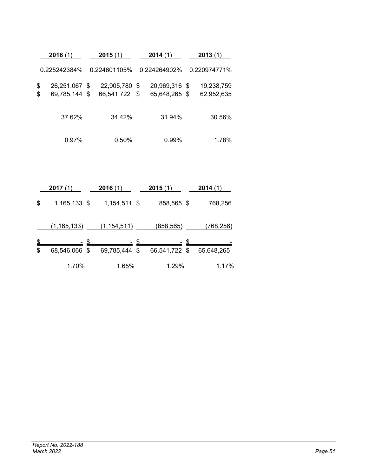| 2016(1)  |                                | 2015(1)                  | 2014 (1)   |                                |  | 2013(1)                  |
|----------|--------------------------------|--------------------------|------------|--------------------------------|--|--------------------------|
|          | 0.225242384%                   | 0.224601105%             |            | 0.224264902%                   |  | 0.220974771%             |
| \$<br>\$ | 26,251,067 \$<br>69,785,144 \$ | 22,905,780<br>66,541,722 | - \$<br>\$ | 20,969,316 \$<br>65,648,265 \$ |  | 19,238,759<br>62,952,635 |
|          | 37.62%                         | 34.42%                   |            | 31.94%                         |  | 30.56%                   |
|          | $0.97\%$                       | 0.50%                    |            | $0.99\%$                       |  | 1.78%                    |

| 2017(1)             | 2016(1)       |                         | 2015(1)       | 2014(1)    |
|---------------------|---------------|-------------------------|---------------|------------|
| \$<br>1,165,133 \$  | 1,154,511 \$  |                         | 858,565 \$    | 768,256    |
| (1, 165, 133)       | (1, 154, 511) |                         | (858, 565)    | (768, 256) |
| - \$                |               | $\mathbf{\mathfrak{L}}$ |               |            |
| \$<br>68,546,066 \$ | 69,785,444 \$ |                         | 66,541,722 \$ | 65,648,265 |
| 1.70%               | 1.65%         |                         | 1.29%         | 1.17%      |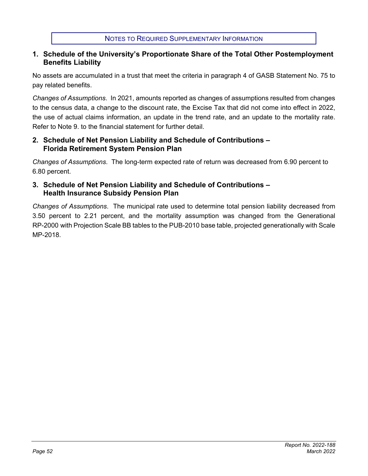# <span id="page-55-0"></span>**1. Schedule of the University's Proportionate Share of the Total Other Postemployment Benefits Liability**

No assets are accumulated in a trust that meet the criteria in paragraph 4 of GASB Statement No. 75 to pay related benefits.

*Changes of Assumptions*. In 2021, amounts reported as changes of assumptions resulted from changes to the census data, a change to the discount rate, the Excise Tax that did not come into effect in 2022, the use of actual claims information, an update in the trend rate, and an update to the mortality rate. Refer to Note 9. to the financial statement for further detail.

# **2. Schedule of Net Pension Liability and Schedule of Contributions – Florida Retirement System Pension Plan**

*Changes of Assumptions*. The long-term expected rate of return was decreased from 6.90 percent to 6.80 percent.

# **3. Schedule of Net Pension Liability and Schedule of Contributions – Health Insurance Subsidy Pension Plan**

*Changes of Assumptions*. The municipal rate used to determine total pension liability decreased from 3.50 percent to 2.21 percent, and the mortality assumption was changed from the Generational RP-2000 with Projection Scale BB tables to the PUB-2010 base table, projected generationally with Scale MP-2018.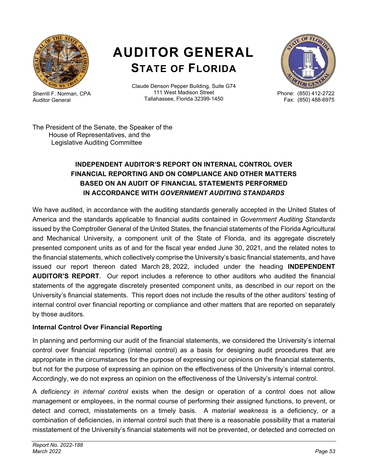<span id="page-56-0"></span>

Sherrill F. Norman, CPA Auditor General

# **AUDITOR GENERAL STATE OF FLORIDA**

Claude Denson Pepper Building, Suite G74 111 West Madison Street Tallahassee, Florida 32399-1450



Phone: (850) 412-2722 Fax: (850) 488-6975

The President of the Senate, the Speaker of the House of Representatives, and the Legislative Auditing Committee

# **INDEPENDENT AUDITOR'S REPORT ON INTERNAL CONTROL OVER FINANCIAL REPORTING AND ON COMPLIANCE AND OTHER MATTERS BASED ON AN AUDIT OF FINANCIAL STATEMENTS PERFORMED IN ACCORDANCE WITH** *GOVERNMENT AUDITING STANDARDS*

We have audited, in accordance with the auditing standards generally accepted in the United States of America and the standards applicable to financial audits contained in *Government Auditing Standards* issued by the Comptroller General of the United States, the financial statements of the Florida Agricultural and Mechanical University, a component unit of the State of Florida, and its aggregate discretely presented component units as of and for the fiscal year ended June 30, 2021, and the related notes to the financial statements, which collectively comprise the University's basic financial statements, and have issued our report thereon dated March 28, 2022, included under the heading **INDEPENDENT AUDITOR'S REPORT**. Our report includes a reference to other auditors who audited the financial statements of the aggregate discretely presented component units, as described in our report on the University's financial statements. This report does not include the results of the other auditors' testing of internal control over financial reporting or compliance and other matters that are reported on separately by those auditors.

# **Internal Control Over Financial Reporting**

In planning and performing our audit of the financial statements, we considered the University's internal control over financial reporting (internal control) as a basis for designing audit procedures that are appropriate in the circumstances for the purpose of expressing our opinions on the financial statements, but not for the purpose of expressing an opinion on the effectiveness of the University's internal control. Accordingly, we do not express an opinion on the effectiveness of the University's internal control.

A *deficiency in internal control* exists when the design or operation of a control does not allow management or employees, in the normal course of performing their assigned functions, to prevent, or detect and correct, misstatements on a timely basis. A *material weakness* is a deficiency, or a combination of deficiencies, in internal control such that there is a reasonable possibility that a material misstatement of the University's financial statements will not be prevented, or detected and corrected on